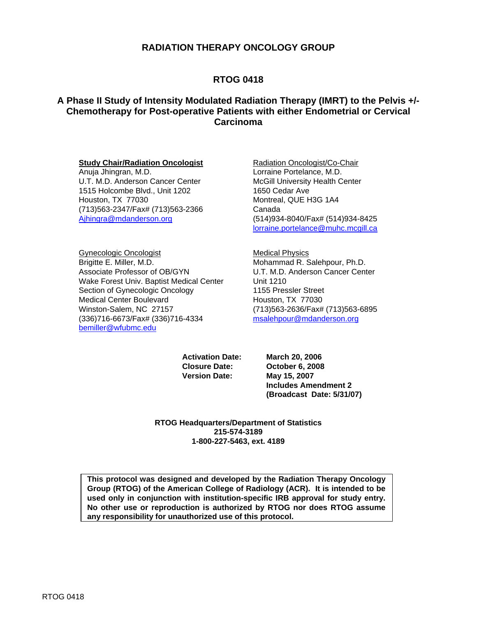# **RADIATION THERAPY ONCOLOGY GROUP**

# **RTOG 0418**

# **A Phase II Study of Intensity Modulated Radiation Therapy (IMRT) to the Pelvis +/- Chemotherapy for Post-operative Patients with either Endometrial or Cervical Carcinoma**

#### **Study Chair/Radiation Oncologist**

Anuja Jhingran, M.D. U.T. M.D. Anderson Cancer Center 1515 Holcombe Blvd., Unit 1202 Houston, TX 77030 (713)563-2347/Fax# (713)563-2366 Ajhingra@mdanderson.org

Gynecologic Oncologist Brigitte E. Miller, M.D. Associate Professor of OB/GYN Wake Forest Univ. Baptist Medical Center Section of Gynecologic Oncology Medical Center Boulevard Winston-Salem, NC 27157 (336)716-6673/Fax# (336)716-4334 bemiller@wfubmc.edu

Radiation Oncologist/Co-Chair Lorraine Portelance, M.D. McGill University Health Center 1650 Cedar Ave Montreal, QUE H3G 1A4 Canada (514)934-8040/Fax# (514)934-8425 lorraine.portelance@muhc.mcgill.ca

Medical Physics Mohammad R. Salehpour, Ph.D. U.T. M.D. Anderson Cancer Center Unit 1210 1155 Pressler Street Houston, TX 77030 (713)563-2636/Fax# (713)563-6895 msalehpour@mdanderson.org

**Version Date: May 15, 2007** 

 **Activation Date: March 20, 2006 Closure Date: October 6, 2008 Includes Amendment 2 (Broadcast Date: 5/31/07)** 

**RTOG Headquarters/Department of Statistics 215-574-3189 1-800-227-5463, ext. 4189**

**This protocol was designed and developed by the Radiation Therapy Oncology Group (RTOG) of the American College of Radiology (ACR). It is intended to be used only in conjunction with institution-specific IRB approval for study entry. No other use or reproduction is authorized by RTOG nor does RTOG assume any responsibility for unauthorized use of this protocol.**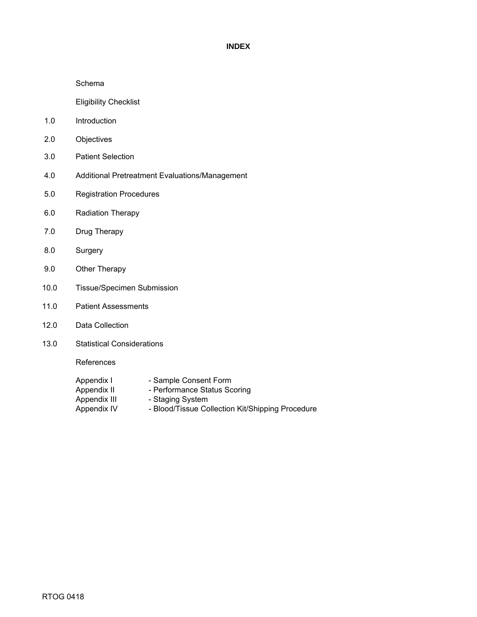#### **INDEX**

#### Schema

Eligibility Checklist

- 1.0 Introduction
- 2.0 Objectives
- 3.0 Patient Selection
- 4.0 Additional Pretreatment Evaluations/Management
- 5.0 Registration Procedures
- 6.0 Radiation Therapy
- 7.0 Drug Therapy
- 8.0 Surgery
- 9.0 Other Therapy
- 10.0 Tissue/Specimen Submission
- 11.0 Patient Assessments
- 12.0 Data Collection
- 13.0 Statistical Considerations

References

| Appendix I   | - Sample Consent Form                            |
|--------------|--------------------------------------------------|
| Appendix II  | - Performance Status Scoring                     |
| Appendix III | - Staging System                                 |
| Appendix IV  | - Blood/Tissue Collection Kit/Shipping Procedure |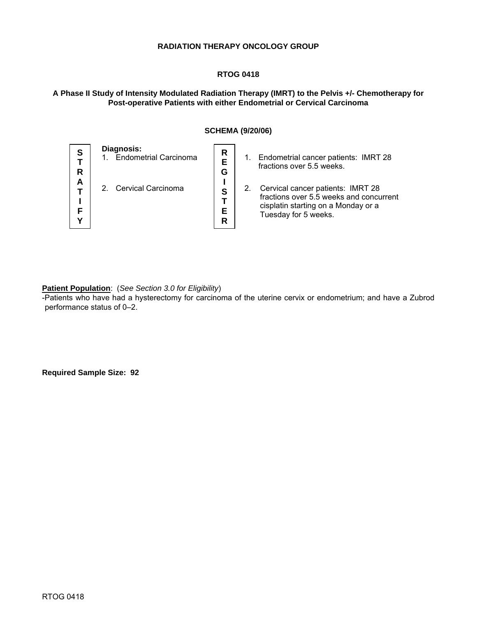## **RADIATION THERAPY ONCOLOGY GROUP**

# **RTOG 0418**

## **A Phase II Study of Intensity Modulated Radiation Therapy (IMRT) to the Pelvis +/- Chemotherapy for Post-operative Patients with either Endometrial or Cervical Carcinoma**

#### **SCHEMA (9/20/06)**

**R E G I S T E R**



- 1. Endometrial cancer patients: IMRT 28 fractions over 5.5 weeks.
- 2. Cervical Carcinoma  $\begin{vmatrix} 1 & 2 \\ 3 & 2 \end{vmatrix}$  2. Cervical cancer patients: IMRT 28 fractions over 5.5 weeks and concurrent cisplatin starting on a Monday or a Tuesday for 5 weeks.

#### **Patient Population**: (*See Section 3.0 for Eligibility*)

-Patients who have had a hysterectomy for carcinoma of the uterine cervix or endometrium; and have a Zubrod performance status of 0–2.

**Required Sample Size: 92**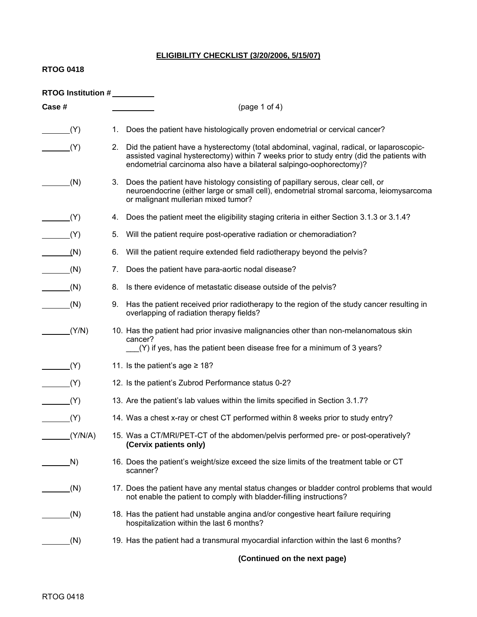# **ELIGIBILITY CHECKLIST (3/20/2006, 5/15/07)**

# **RTOG 0418**

| RTOG Institution # |    |                                                                                                                                                                                                                                                                 |
|--------------------|----|-----------------------------------------------------------------------------------------------------------------------------------------------------------------------------------------------------------------------------------------------------------------|
| Case #             |    | (page 1 of 4)                                                                                                                                                                                                                                                   |
| (Y)                | 1. | Does the patient have histologically proven endometrial or cervical cancer?                                                                                                                                                                                     |
| (Y)                |    | 2. Did the patient have a hysterectomy (total abdominal, vaginal, radical, or laparoscopic-<br>assisted vaginal hysterectomy) within 7 weeks prior to study entry (did the patients with<br>endometrial carcinoma also have a bilateral salpingo-oophorectomy)? |
| (N)                |    | 3. Does the patient have histology consisting of papillary serous, clear cell, or<br>neuroendocrine (either large or small cell), endometrial stromal sarcoma, leiomysarcoma<br>or malignant mullerian mixed tumor?                                             |
| (Y)                | 4. | Does the patient meet the eligibility staging criteria in either Section 3.1.3 or 3.1.4?                                                                                                                                                                        |
| (Y)                | 5. | Will the patient require post-operative radiation or chemoradiation?                                                                                                                                                                                            |
| (N)                | 6. | Will the patient require extended field radiotherapy beyond the pelvis?                                                                                                                                                                                         |
| (N)                | 7. | Does the patient have para-aortic nodal disease?                                                                                                                                                                                                                |
| (N)                | 8. | Is there evidence of metastatic disease outside of the pelvis?                                                                                                                                                                                                  |
| (N)                |    | 9. Has the patient received prior radiotherapy to the region of the study cancer resulting in<br>overlapping of radiation therapy fields?                                                                                                                       |
| (Y/N)              |    | 10. Has the patient had prior invasive malignancies other than non-melanomatous skin<br>cancer?<br>(Y) if yes, has the patient been disease free for a minimum of 3 years?                                                                                      |
| (Y)                |    | 11. Is the patient's age $\geq$ 18?                                                                                                                                                                                                                             |
| (Y)                |    | 12. Is the patient's Zubrod Performance status 0-2?                                                                                                                                                                                                             |
| (Y)                |    | 13. Are the patient's lab values within the limits specified in Section 3.1.7?                                                                                                                                                                                  |
| (Y)                |    | 14. Was a chest x-ray or chest CT performed within 8 weeks prior to study entry?                                                                                                                                                                                |
| (Y/N/A)            |    | 15. Was a CT/MRI/PET-CT of the abdomen/pelvis performed pre- or post-operatively?<br>(Cervix patients only)                                                                                                                                                     |
| N)                 |    | 16. Does the patient's weight/size exceed the size limits of the treatment table or CT<br>scanner?                                                                                                                                                              |
| (N)                |    | 17. Does the patient have any mental status changes or bladder control problems that would<br>not enable the patient to comply with bladder-filling instructions?                                                                                               |
| (N)                |    | 18. Has the patient had unstable angina and/or congestive heart failure requiring<br>hospitalization within the last 6 months?                                                                                                                                  |
| (N)                |    | 19. Has the patient had a transmural myocardial infarction within the last 6 months?                                                                                                                                                                            |

 **(Continued on the next page)**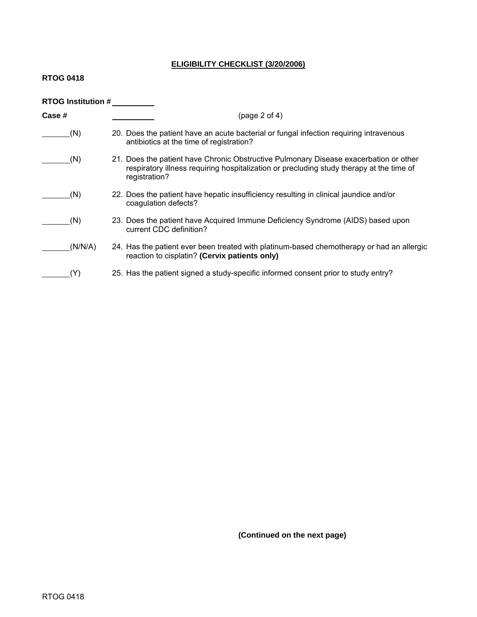# **ELIGIBILITY CHECKLIST (3/20/2006)**

# **RTOG 0418**

| <b>RTOG Institution #</b> |                                                                                                                                                                                                    |
|---------------------------|----------------------------------------------------------------------------------------------------------------------------------------------------------------------------------------------------|
| Case #                    | (page 2 of 4)                                                                                                                                                                                      |
| (N)                       | 20. Does the patient have an acute bacterial or fungal infection requiring intravenous<br>antibiotics at the time of registration?                                                                 |
| (N)                       | 21. Does the patient have Chronic Obstructive Pulmonary Disease exacerbation or other<br>respiratory illness requiring hospitalization or precluding study therapy at the time of<br>registration? |
| (N)                       | 22. Does the patient have hepatic insufficiency resulting in clinical jaundice and/or<br>coagulation defects?                                                                                      |
| (N)                       | 23. Does the patient have Acquired Immune Deficiency Syndrome (AIDS) based upon<br>current CDC definition?                                                                                         |
| (N/N/A)                   | 24. Has the patient ever been treated with platinum-based chemotherapy or had an allergic<br>reaction to cisplatin? (Cervix patients only)                                                         |
| (Y)                       | 25. Has the patient signed a study-specific informed consent prior to study entry?                                                                                                                 |

 **(Continued on the next page)**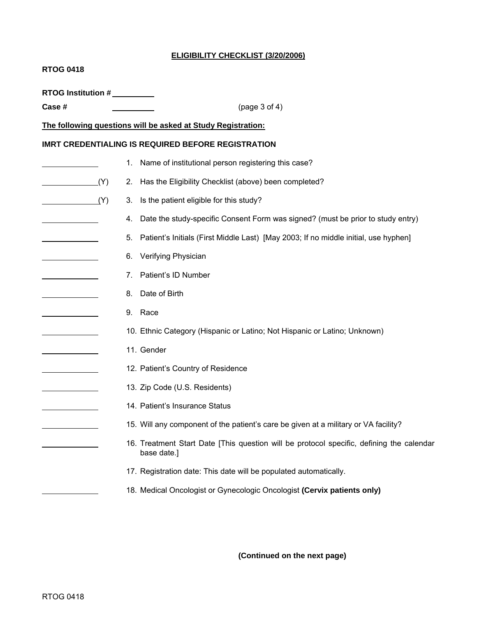# **ELIGIBILITY CHECKLIST (3/20/2006)**

| <b>RTOG 0418</b>             |    |                                                                                                         |
|------------------------------|----|---------------------------------------------------------------------------------------------------------|
| RTOG Institution #<br>Case # |    | (page 3 of 4)                                                                                           |
|                              |    | The following questions will be asked at Study Registration:                                            |
|                              |    | <b>IMRT CREDENTIALING IS REQUIRED BEFORE REGISTRATION</b>                                               |
|                              | 1. | Name of institutional person registering this case?                                                     |
| (Y)                          | 2. | Has the Eligibility Checklist (above) been completed?                                                   |
| (Y)                          | 3. | Is the patient eligible for this study?                                                                 |
|                              | 4. | Date the study-specific Consent Form was signed? (must be prior to study entry)                         |
|                              | 5. | Patient's Initials (First Middle Last) [May 2003; If no middle initial, use hyphen]                     |
|                              | 6. | Verifying Physician                                                                                     |
|                              | 7. | Patient's ID Number                                                                                     |
|                              | 8. | Date of Birth                                                                                           |
|                              | 9. | Race                                                                                                    |
|                              |    | 10. Ethnic Category (Hispanic or Latino; Not Hispanic or Latino; Unknown)                               |
|                              |    | 11. Gender                                                                                              |
|                              |    | 12. Patient's Country of Residence                                                                      |
|                              |    | 13. Zip Code (U.S. Residents)                                                                           |
|                              |    | 14. Patient's Insurance Status                                                                          |
|                              |    | 15. Will any component of the patient's care be given at a military or VA facility?                     |
|                              |    | 16. Treatment Start Date [This question will be protocol specific, defining the calendar<br>base date.] |
|                              |    | 17. Registration date: This date will be populated automatically.                                       |
|                              |    | 18. Medical Oncologist or Gynecologic Oncologist (Cervix patients only)                                 |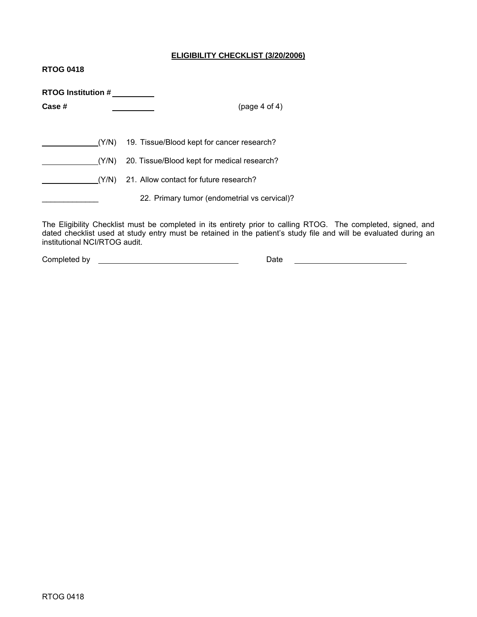# **ELIGIBILITY CHECKLIST (3/20/2006)**

| <b>RTOG 0418</b>                    |                                              |
|-------------------------------------|----------------------------------------------|
| <b>RTOG Institution #</b><br>Case # | (page 4 of 4)                                |
| (Y/N)                               | 19. Tissue/Blood kept for cancer research?   |
| (Y/N)                               | 20. Tissue/Blood kept for medical research?  |
| (Y/N)                               | 21. Allow contact for future research?       |
|                                     | 22. Primary tumor (endometrial vs cervical)? |

The Eligibility Checklist must be completed in its entirety prior to calling RTOG. The completed, signed, and dated checklist used at study entry must be retained in the patient's study file and will be evaluated during an institutional NCI/RTOG audit.

Completed by Date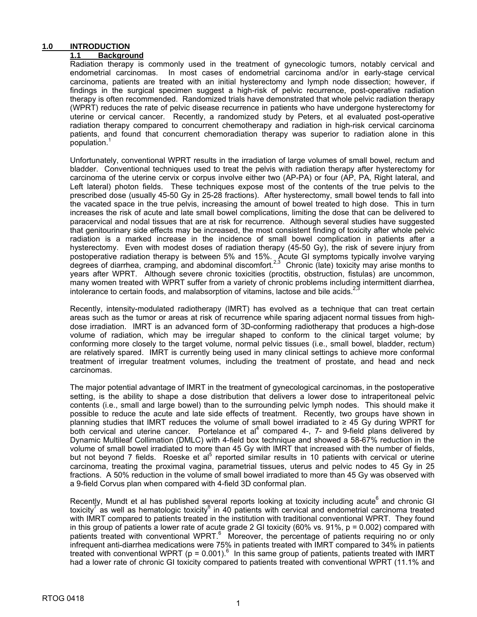# **1.0 INTRODUCTION**

## **1.1 Background**

Radiation therapy is commonly used in the treatment of gynecologic tumors, notably cervical and endometrial carcinomas. In most cases of endometrial carcinoma and/or in early-stage cervical carcinoma, patients are treated with an initial hysterectomy and lymph node dissection; however, if findings in the surgical specimen suggest a high-risk of pelvic recurrence, post-operative radiation therapy is often recommended. Randomized trials have demonstrated that whole pelvic radiation therapy (WPRT) reduces the rate of pelvic disease recurrence in patients who have undergone hysterectomy for uterine or cervical cancer. Recently, a randomized study by Peters, et al evaluated post-operative radiation therapy compared to concurrent chemotherapy and radiation in high-risk cervical carcinoma patients, and found that concurrent chemoradiation therapy was superior to radiation alone in this population.<sup>1</sup>

Unfortunately, conventional WPRT results in the irradiation of large volumes of small bowel, rectum and bladder. Conventional techniques used to treat the pelvis with radiation therapy after hysterectomy for carcinoma of the uterine cervix or corpus involve either two (AP-PA) or four (AP, PA, Right lateral, and Left lateral) photon fields. These techniques expose most of the contents of the true pelvis to the prescribed dose (usually 45-50 Gy in 25-28 fractions). After hysterectomy, small bowel tends to fall into the vacated space in the true pelvis, increasing the amount of bowel treated to high dose. This in turn increases the risk of acute and late small bowel complications, limiting the dose that can be delivered to paracervical and nodal tissues that are at risk for recurrence. Although several studies have suggested that genitourinary side effects may be increased, the most consistent finding of toxicity after whole pelvic radiation is a marked increase in the incidence of small bowel complication in patients after a hysterectomy. Even with modest doses of radiation therapy (45-50 Gy), the risk of severe injury from postoperative radiation therapy is between 5% and 15%. Acute GI symptoms typically involve varying degrees of diarrhea, cramping, and abdominal discomfort.<sup>2,3</sup> Chronic (late) toxicity may arise months to years after WPRT. Although severe chronic toxicities (proctitis, obstruction, fistulas) are uncommon, many women treated with WPRT suffer from a variety of chronic problems including intermittent diarrhea, intolerance to certain foods, and malabsorption of vitamins, lactose and bile acids.<sup>2,3</sup>

Recently, intensity-modulated radiotherapy (IMRT) has evolved as a technique that can treat certain areas such as the tumor or areas at risk of recurrence while sparing adjacent normal tissues from highdose irradiation. IMRT is an advanced form of 3D-conforming radiotherapy that produces a high-dose volume of radiation, which may be irregular shaped to conform to the clinical target volume; by conforming more closely to the target volume, normal pelvic tissues (i.e., small bowel, bladder, rectum) are relatively spared. IMRT is currently being used in many clinical settings to achieve more conformal treatment of irregular treatment volumes, including the treatment of prostate, and head and neck carcinomas.

The major potential advantage of IMRT in the treatment of gynecological carcinomas, in the postoperative setting, is the ability to shape a dose distribution that delivers a lower dose to intraperitoneal pelvic contents (i.e., small and large bowel) than to the surrounding pelvic lymph nodes. This should make it possible to reduce the acute and late side effects of treatment. Recently, two groups have shown in planning studies that IMRT reduces the volume of small bowel irradiated to ≥ 45 Gy during WPRT for both cervical and uterine cancer. Portelance et al<sup>4</sup> compared 4-, 7- and 9-field plans delivered by Dynamic Multileaf Collimation (DMLC) with 4-field box technique and showed a 58-67% reduction in the volume of small bowel irradiated to more than 45 Gy with IMRT that increased with the number of fields, but not beyond 7 fields. Roeske et al<sup>5</sup> reported similar results in 10 patients with cervical or uterine carcinoma, treating the proximal vagina, parametrial tissues, uterus and pelvic nodes to 45 Gy in 25 fractions. A 50% reduction in the volume of small bowel irradiated to more than 45 Gy was observed with a 9-field Corvus plan when compared with 4-field 3D conformal plan.

Recently, Mundt et al has published several reports looking at toxicity including acute<sup>6</sup> and chronic GI toxicity<sup>7</sup> as well as hematologic toxicity<sup>8</sup> in 40 patients with cervical and endometrial carcinoma treated with IMRT compared to patients treated in the institution with traditional conventional WPRT. They found in this group of patients a lower rate of acute grade 2 GI toxicity (60% vs. 91%, p = 0.002) compared with patients treated with conventional WPRT.<sup>6</sup> Moreover, the percentage of patients requiring no or only infrequent anti-diarrhea medications were 75% in patients treated with IMRT compared to 34% in patients treated with conventional WPRT (p = 0.001).<sup>6</sup> In this same group of patients, patients treated with IMRT had a lower rate of chronic GI toxicity compared to patients treated with conventional WPRT (11.1% and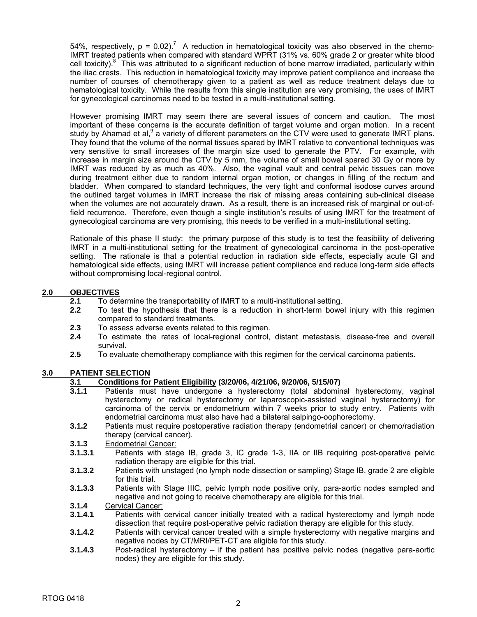54%, respectively,  $p = 0.02$ ).<sup>7</sup> A reduction in hematological toxicity was also observed in the chemo-IMRT treated patients when compared with standard WPRT (31% vs. 60% grade 2 or greater white blood cell toxicity).<sup>8</sup> This was attributed to a significant reduction of bone marrow irradiated, particularly within the iliac crests. This reduction in hematological toxicity may improve patient compliance and increase the number of courses of chemotherapy given to a patient as well as reduce treatment delays due to hematological toxicity. While the results from this single institution are very promising, the uses of IMRT for gynecological carcinomas need to be tested in a multi-institutional setting.

However promising IMRT may seem there are several issues of concern and caution. The most important of these concerns is the accurate definition of target volume and organ motion. In a recent study by Ahamad et al,<sup>9</sup> a variety of different parameters on the CTV were used to generate IMRT plans. They found that the volume of the normal tissues spared by IMRT relative to conventional techniques was very sensitive to small increases of the margin size used to generate the PTV. For example, with increase in margin size around the CTV by 5 mm, the volume of small bowel spared 30 Gy or more by IMRT was reduced by as much as 40%. Also, the vaginal vault and central pelvic tissues can move during treatment either due to random internal organ motion, or changes in filling of the rectum and bladder. When compared to standard techniques, the very tight and conformal isodose curves around the outlined target volumes in IMRT increase the risk of missing areas containing sub-clinical disease when the volumes are not accurately drawn. As a result, there is an increased risk of marginal or out-offield recurrence. Therefore, even though a single institution's results of using IMRT for the treatment of gynecological carcinoma are very promising, this needs to be verified in a multi-institutional setting.

Rationale of this phase II study: the primary purpose of this study is to test the feasibility of delivering IMRT in a multi-institutional setting for the treatment of gynecological carcinoma in the post-operative setting. The rationale is that a potential reduction in radiation side effects, especially acute GI and hematological side effects, using IMRT will increase patient compliance and reduce long-term side effects without compromising local-regional control.

# **2.0 OBJECTIVES**

- **2.1** To determine the transportability of IMRT to a multi-institutional setting.
- **2.2** To test the hypothesis that there is a reduction in short-term bowel injury with this regimen compared to standard treatments.
- **2.3** To assess adverse events related to this regimen.
- **2.4** To estimate the rates of local-regional control, distant metastasis, disease-free and overall survival.
- **2.5** To evaluate chemotherapy compliance with this regimen for the cervical carcinoma patients.

# **3.0 PATIENT SELECTION**

# **3.1 Conditions for Patient Eligibility (3/20/06, 4/21/06, 9/20/06, 5/15/07)**

- **3.1.1** Patients must have undergone a hysterectomy (total abdominal hysterectomy, vaginal hysterectomy or radical hysterectomy or laparoscopic-assisted vaginal hysterectomy) for carcinoma of the cervix or endometrium within 7 weeks prior to study entry. Patients with endometrial carcinoma must also have had a bilateral salpingo-oophorectomy.
- **3.1.2** Patients must require postoperative radiation therapy (endometrial cancer) or chemo/radiation therapy (cervical cancer).
- **3.1.3** Endometrial Cancer:
- **3.1.3.1** Patients with stage IB, grade 3, IC grade 1-3, IIA or IIB requiring post-operative pelvic radiation therapy are eligible for this trial.
- **3.1.3.2** Patients with unstaged (no lymph node dissection or sampling) Stage IB, grade 2 are eligible for this trial.
- **3.1.3.3** Patients with Stage IIIC, pelvic lymph node positive only, para-aortic nodes sampled and negative and not going to receive chemotherapy are eligible for this trial.
- **3.1.4** Cervical Cancer:
- **3.1.4.1** Patients with cervical cancer initially treated with a radical hysterectomy and lymph node dissection that require post-operative pelvic radiation therapy are eligible for this study.
- **3.1.4.2** Patients with cervical cancer treated with a simple hysterectomy with negative margins and negative nodes by CT/MRI/PET-CT are eligible for this study.
- **3.1.4.3** Post-radical hysterectomy if the patient has positive pelvic nodes (negative para-aortic nodes) they are eligible for this study.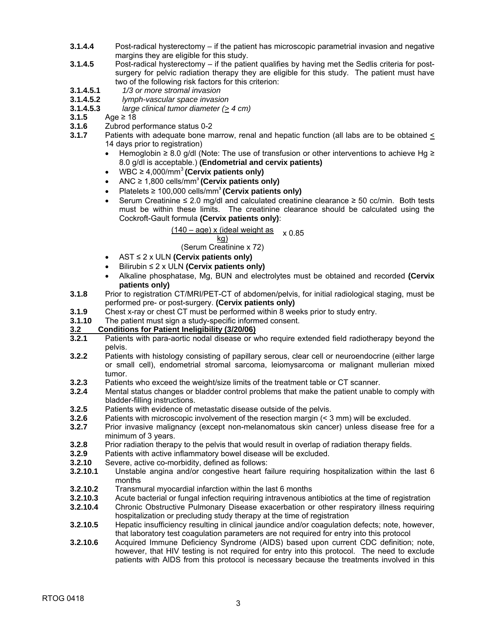- **3.1.4.4** Post-radical hysterectomy if the patient has microscopic parametrial invasion and negative margins they are eligible for this study.
- **3.1.4.5** Post-radical hysterectomy if the patient qualifies by having met the Sedlis criteria for postsurgery for pelvic radiation therapy they are eligible for this study. The patient must have two of the following risk factors for this criterion:
- **3.1.4.5.1** *1/3 or more stromal invasion*
- **3.1.4.5.2** *lymph-vascular space invasion*
- **3.1.4.5.3** *large clinical tumor diameter (> 4 cm)*
- **3.1.5** Age ≥ 18
- **3.1.6** Zubrod performance status 0-2
- **3.1.7** Patients with adequate bone marrow, renal and hepatic function (all labs are to be obtained < 14 days prior to registration)
	- Hemoglobin ≥ 8.0 g/dl (Note: The use of transfusion or other interventions to achieve Hg ≥ 8.0 g/dl is acceptable.) **(Endometrial and cervix patients)**
	- WBC  $\geq$  4,000/mm<sup>3</sup> (Cervix patients only)
	- $\bullet$  ANC  $\geq$  1,800 cells/mm<sup>3</sup> (Cervix patients only)
	- Platelets ≥ 100,000 cells/mm<sup>3</sup> (Cervix patients only)
	- Serum Creatinine ≤ 2.0 mg/dl and calculated creatinine clearance ≥ 50 cc/min. Both tests must be within these limits. The creatinine clearance should be calculated using the Cockroft-Gault formula **(Cervix patients only)**:

 $(140 - age) \times (ideal weight as \times 0.85)$ 

kg)

(Serum Creatinine x 72)

- AST ≤ 2 x ULN **(Cervix patients only)**
- Bilirubin ≤ 2 x ULN **(Cervix patients only)**
- Alkaline phosphatase, Mg, BUN and electrolytes must be obtained and recorded **(Cervix patients only)**
- **3.1.8** Prior to registration CT/MRI/PET-CT of abdomen/pelvis, for initial radiological staging, must be performed pre- or post-surgery. **(Cervix patients only)**
- **3.1.9** Chest x-ray or chest CT must be performed within 8 weeks prior to study entry.
- **3.1.10** The patient must sign a study-specific informed consent.

# **3.2 Conditions for Patient Ineligibility (3/20/06)**

- **3.2.1** Patients with para-aortic nodal disease or who require extended field radiotherapy beyond the pelvis.
- **3.2.2** Patients with histology consisting of papillary serous, clear cell or neuroendocrine (either large or small cell), endometrial stromal sarcoma, leiomysarcoma or malignant mullerian mixed tumor.
- **3.2.3** Patients who exceed the weight/size limits of the treatment table or CT scanner.
- **3.2.4** Mental status changes or bladder control problems that make the patient unable to comply with bladder-filling instructions.
- **3.2.5** Patients with evidence of metastatic disease outside of the pelvis.
- **3.2.6** Patients with microscopic involvement of the resection margin (< 3 mm) will be excluded.
- **3.2.7** Prior invasive malignancy (except non-melanomatous skin cancer) unless disease free for a minimum of 3 years.
- **3.2.8** Prior radiation therapy to the pelvis that would result in overlap of radiation therapy fields.
- **3.2.9** Patients with active inflammatory bowel disease will be excluded.
- **3.2.10** Severe, active co-morbidity, defined as follows:
- **3.2.10.1** Unstable angina and/or congestive heart failure requiring hospitalization within the last 6 months
- **3.2.10.2** Transmural myocardial infarction within the last 6 months
- **3.2.10.3** Acute bacterial or fungal infection requiring intravenous antibiotics at the time of registration
- **3.2.10.4** Chronic Obstructive Pulmonary Disease exacerbation or other respiratory illness requiring hospitalization or precluding study therapy at the time of registration
- **3.2.10.5** Hepatic insufficiency resulting in clinical jaundice and/or coagulation defects; note, however, that laboratory test coagulation parameters are not required for entry into this protocol
- **3.2.10.6** Acquired Immune Deficiency Syndrome (AIDS) based upon current CDC definition; note, however, that HIV testing is not required for entry into this protocol. The need to exclude patients with AIDS from this protocol is necessary because the treatments involved in this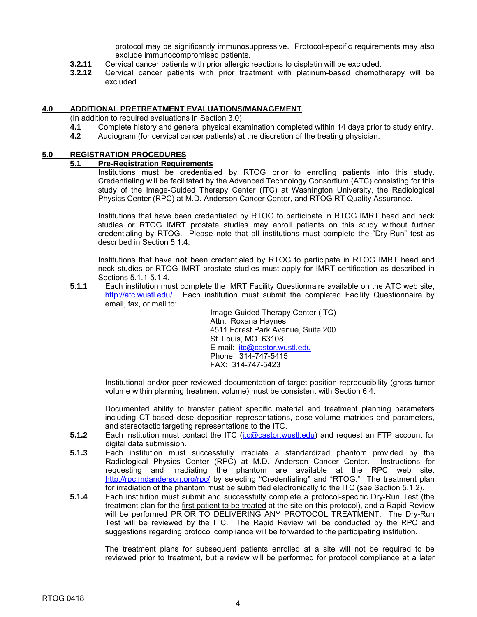protocol may be significantly immunosuppressive. Protocol-specific requirements may also exclude immunocompromised patients.

- **3.2.11** Cervical cancer patients with prior allergic reactions to cisplatin will be excluded.
- **3.2.12** Cervical cancer patients with prior treatment with platinum-based chemotherapy will be excluded.

#### **4.0 ADDITIONAL PRETREATMENT EVALUATIONS/MANAGEMENT**

(In addition to required evaluations in Section 3.0)

- **4.1** Complete history and general physical examination completed within 14 days prior to study entry.
- **4.2** Audiogram (for cervical cancer patients) at the discretion of the treating physician.

#### **5.0 REGISTRATION PROCEDURES**

## **5.1 Pre-Registration Requirements**

Institutions must be credentialed by RTOG prior to enrolling patients into this study. Credentialing will be facilitated by the Advanced Technology Consortium (ATC) consisting for this study of the Image-Guided Therapy Center (ITC) at Washington University, the Radiological Physics Center (RPC) at M.D. Anderson Cancer Center, and RTOG RT Quality Assurance.

Institutions that have been credentialed by RTOG to participate in RTOG IMRT head and neck studies or RTOG IMRT prostate studies may enroll patients on this study without further credentialing by RTOG. Please note that all institutions must complete the "Dry-Run" test as described in Section 5.1.4.

Institutions that have **not** been credentialed by RTOG to participate in RTOG IMRT head and neck studies or RTOG IMRT prostate studies must apply for IMRT certification as described in Sections 5.1.1-5.1.4.

**5.1.1** Each institution must complete the IMRT Facility Questionnaire available on the ATC web site, http://atc.wustl.edu/. Each institution must submit the completed Facility Questionnaire by email, fax, or mail to:

> Image-Guided Therapy Center (ITC) Attn: Roxana Haynes 4511 Forest Park Avenue, Suite 200 St. Louis, MO 63108 E-mail: itc@castor.wustl.edu Phone: 314-747-5415 FAX: 314-747-5423

Institutional and/or peer-reviewed documentation of target position reproducibility (gross tumor volume within planning treatment volume) must be consistent with Section 6.4.

Documented ability to transfer patient specific material and treatment planning parameters including CT-based dose deposition representations, dose-volume matrices and parameters, and stereotactic targeting representations to the ITC.

- **5.1.2** Each institution must contact the ITC (itc@castor.wustl.edu) and request an FTP account for digital data submission.
- **5.1.3** Each institution must successfully irradiate a standardized phantom provided by the Radiological Physics Center (RPC) at M.D. Anderson Cancer Center. Instructions for requesting and irradiating the phantom are available at the RPC web site, http://rpc.mdanderson.org/rpc/ by selecting "Credentialing" and "RTOG." The treatment plan for irradiation of the phantom must be submitted electronically to the ITC (see Section 5.1.2).
- **5.1.4** Each institution must submit and successfully complete a protocol-specific Dry-Run Test (the treatment plan for the first patient to be treated at the site on this protocol), and a Rapid Review will be performed PRIOR TO DELIVERING ANY PROTOCOL TREATMENT. The Dry-Run Test will be reviewed by the ITC. The Rapid Review will be conducted by the RPC and suggestions regarding protocol compliance will be forwarded to the participating institution.

The treatment plans for subsequent patients enrolled at a site will not be required to be reviewed prior to treatment, but a review will be performed for protocol compliance at a later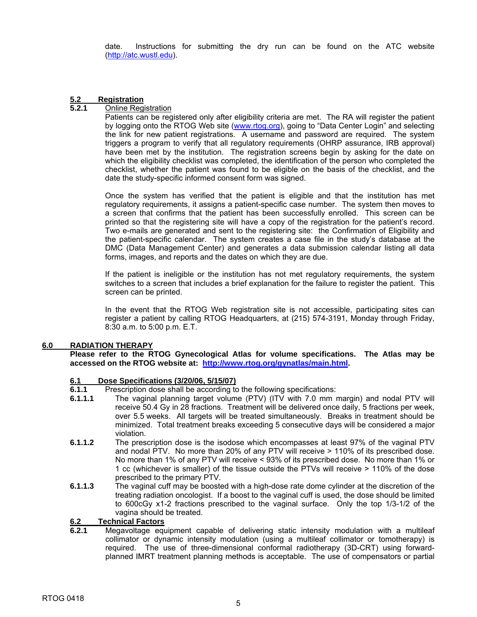date. Instructions for submitting the dry run can be found on the ATC website (http://atc.wustl.edu).

# **5.2 Registration**

#### **5.2.1** Online Registration

Patients can be registered only after eligibility criteria are met. The RA will register the patient by logging onto the RTOG Web site (www.rtog.org), going to "Data Center Login" and selecting the link for new patient registrations. A username and password are required. The system triggers a program to verify that all regulatory requirements (OHRP assurance, IRB approval) have been met by the institution. The registration screens begin by asking for the date on which the eligibility checklist was completed, the identification of the person who completed the checklist, whether the patient was found to be eligible on the basis of the checklist, and the date the study-specific informed consent form was signed.

Once the system has verified that the patient is eligible and that the institution has met regulatory requirements, it assigns a patient-specific case number. The system then moves to a screen that confirms that the patient has been successfully enrolled. This screen can be printed so that the registering site will have a copy of the registration for the patient's record. Two e-mails are generated and sent to the registering site: the Confirmation of Eligibility and the patient-specific calendar. The system creates a case file in the study's database at the DMC (Data Management Center) and generates a data submission calendar listing all data forms, images, and reports and the dates on which they are due.

 If the patient is ineligible or the institution has not met regulatory requirements, the system switches to a screen that includes a brief explanation for the failure to register the patient. This screen can be printed.

In the event that the RTOG Web registration site is not accessible, participating sites can register a patient by calling RTOG Headquarters, at (215) 574-3191, Monday through Friday, 8:30 a.m. to 5:00 p.m. E.T.

#### **6.0 RADIATION THERAPY**

**Please refer to the RTOG Gynecological Atlas for volume specifications. The Atlas may be accessed on the RTOG website at: http://www.rtog.org/gynatlas/main.html.** 

## **6.1 Dose Specifications (3/20/06, 5/15/07)**

- **6.1.1** Prescription dose shall be according to the following specifications:
- **6.1.1.1** The vaginal planning target volume (PTV) (ITV with 7.0 mm margin) and nodal PTV will receive 50.4 Gy in 28 fractions. Treatment will be delivered once daily, 5 fractions per week, over 5.5 weeks. All targets will be treated simultaneously. Breaks in treatment should be minimized. Total treatment breaks exceeding 5 consecutive days will be considered a major violation.
- **6.1.1.2** The prescription dose is the isodose which encompasses at least 97% of the vaginal PTV and nodal PTV. No more than 20% of any PTV will receive > 110% of its prescribed dose. No more than 1% of any PTV will receive < 93% of its prescribed dose. No more than 1% or 1 cc (whichever is smaller) of the tissue outside the PTVs will receive > 110% of the dose prescribed to the primary PTV.
- **6.1.1.3** The vaginal cuff may be boosted with a high-dose rate dome cylinder at the discretion of the treating radiation oncologist. If a boost to the vaginal cuff is used, the dose should be limited to 600cGy x1-2 fractions prescribed to the vaginal surface. Only the top 1/3-1/2 of the vagina should be treated.

# **6.2 Technical Factors**

**6.2.1** Megavoltage equipment capable of delivering static intensity modulation with a multileaf collimator or dynamic intensity modulation (using a multileaf collimator or tomotherapy) is required. The use of three-dimensional conformal radiotherapy (3D-CRT) using forwardplanned IMRT treatment planning methods is acceptable. The use of compensators or partial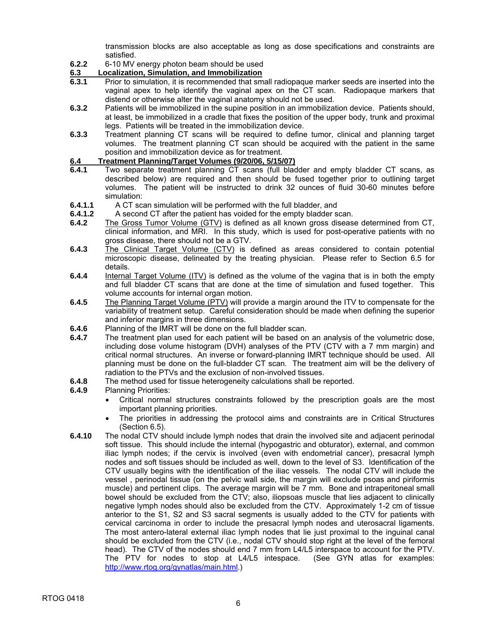transmission blocks are also acceptable as long as dose specifications and constraints are satisfied.

**6.2.2** 6-10 MV energy photon beam should be used

**6.3 Localization, Simulation, and Immobilization**

- **6.3.1** Prior to simulation, it is recommended that small radiopaque marker seeds are inserted into the vaginal apex to help identify the vaginal apex on the CT scan. Radiopaque markers that distend or otherwise alter the vaginal anatomy should not be used.
- **6.3.2** Patients will be immobilized in the supine position in an immobilization device. Patients should, at least, be immobilized in a cradle that fixes the position of the upper body, trunk and proximal legs. Patients will be treated in the immobilization device.
- **6.3.3** Treatment planning CT scans will be required to define tumor, clinical and planning target volumes. The treatment planning CT scan should be acquired with the patient in the same position and immobilization device as for treatment.

## **6.4 Treatment Planning/Target Volumes (9/20/06, 5/15/07)**

- **6.4.1** Two separate treatment planning CT scans (full bladder and empty bladder CT scans, as described below) are required and then should be fused together prior to outlining target volumes. The patient will be instructed to drink 32 ounces of fluid 30-60 minutes before simulation:
- **6.4.1.1** A CT scan simulation will be performed with the full bladder, and
- **6.4.1.2** A second CT after the patient has voided for the empty bladder scan.<br>**6.4.2** The Gross Tumor Volume (GTV) is defined as all known gross diseas
- **6.4.2** The Gross Tumor Volume (GTV) is defined as all known gross disease determined from CT, clinical information, and MRI. In this study, which is used for post-operative patients with no gross disease, there should not be a GTV.
- **6.4.3** The Clinical Target Volume (CTV) is defined as areas considered to contain potential microscopic disease, delineated by the treating physician. Please refer to Section 6.5 for details.
- **6.4.4** Internal Target Volume (ITV) is defined as the volume of the vagina that is in both the empty and full bladder CT scans that are done at the time of simulation and fused together. This volume accounts for internal organ motion.
- **6.4.5** The Planning Target Volume (PTV) will provide a margin around the ITV to compensate for the variability of treatment setup. Careful consideration should be made when defining the superior and inferior margins in three dimensions.
- **6.4.6** Planning of the IMRT will be done on the full bladder scan.
- **6.4.7** The treatment plan used for each patient will be based on an analysis of the volumetric dose, including dose volume histogram (DVH) analyses of the PTV (CTV with a 7 mm margin) and critical normal structures. An inverse or forward-planning IMRT technique should be used. All planning must be done on the full-bladder CT scan. The treatment aim will be the delivery of radiation to the PTVs and the exclusion of non-involved tissues.
- **6.4.8** The method used for tissue heterogeneity calculations shall be reported.
- **6.4.9** Planning Priorities:
	- Critical normal structures constraints followed by the prescription goals are the most important planning priorities.
	- The priorities in addressing the protocol aims and constraints are in Critical Structures (Section 6.5).
- **6.4.10** The nodal CTV should include lymph nodes that drain the involved site and adjacent perinodal soft tissue. This should include the internal (hypogastric and obturator), external, and common iliac lymph nodes; if the cervix is involved (even with endometrial cancer), presacral lymph nodes and soft tissues should be included as well, down to the level of S3. Identification of the CTV usually begins with the identification of the iliac vessels. The nodal CTV will include the vessel , perinodal tissue (on the pelvic wall side, the margin will exclude psoas and piriformis muscle) and pertinent clips. The average margin will be 7 mm. Bone and intraperitoneal small bowel should be excluded from the CTV; also, iliopsoas muscle that lies adjacent to clinically negative lymph nodes should also be excluded from the CTV. Approximately 1-2 cm of tissue anterior to the S1, S2 and S3 sacral segments is usually added to the CTV for patients with cervical carcinoma in order to include the presacral lymph nodes and uterosacral ligaments. The most antero-lateral external iliac lymph nodes that lie just proximal to the inguinal canal should be excluded from the CTV (i.e., nodal CTV should stop right at the level of the femoral head). The CTV of the nodes should end 7 mm from L4/L5 interspace to account for the PTV. The PTV for nodes to stop at L4/L5 intespace. (See GYN atlas for examples: http://www.rtog.org/gynatlas/main.html.)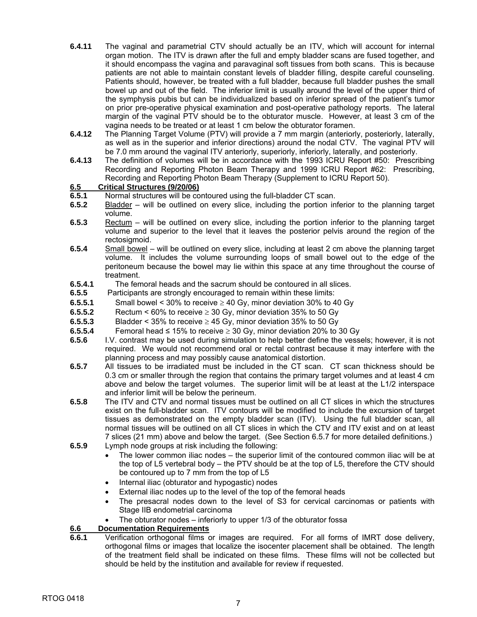- **6.4.11** The vaginal and parametrial CTV should actually be an ITV, which will account for internal organ motion. The ITV is drawn after the full and empty bladder scans are fused together, and it should encompass the vagina and paravaginal soft tissues from both scans. This is because patients are not able to maintain constant levels of bladder filling, despite careful counseling. Patients should, however, be treated with a full bladder, because full bladder pushes the small bowel up and out of the field. The inferior limit is usually around the level of the upper third of the symphysis pubis but can be individualized based on inferior spread of the patient's tumor on prior pre-operative physical examination and post-operative pathology reports. The lateral margin of the vaginal PTV should be to the obturator muscle. However, at least 3 cm of the vagina needs to be treated or at least 1 cm below the obturator foramen.
- **6.4.12** The Planning Target Volume (PTV) will provide a 7 mm margin (anteriorly, posteriorly, laterally, as well as in the superior and inferior directions) around the nodal CTV. The vaginal PTV will be 7.0 mm around the vaginal ITV anteriorly, superiorly, inferiorly, laterally, and posteriorly.
- **6.4.13** The definition of volumes will be in accordance with the 1993 ICRU Report #50: Prescribing Recording and Reporting Photon Beam Therapy and 1999 ICRU Report #62: Prescribing, Recording and Reporting Photon Beam Therapy (Supplement to ICRU Report 50).

## **6.5 Critical Structures (9/20/06)**

- **6.5.1** Normal structures will be contoured using the full-bladder CT scan.
- **6.5.2** Bladder will be outlined on every slice, including the portion inferior to the planning target volume.
- **6.5.3** Rectum will be outlined on every slice, including the portion inferior to the planning target volume and superior to the level that it leaves the posterior pelvis around the region of the rectosigmoid.
- **6.5.4** Small bowel will be outlined on every slice, including at least 2 cm above the planning target volume. It includes the volume surrounding loops of small bowel out to the edge of the peritoneum because the bowel may lie within this space at any time throughout the course of treatment.
- **6.5.4.1** The femoral heads and the sacrum should be contoured in all slices.
- **6.5.5** Participants are strongly encouraged to remain within these limits:
- **6.5.5.1** Small bowel < 30% to receive ≥ 40 Gy, minor deviation 30% to 40 Gy
- **6.5.5.2** Rectum <  $60\%$  to receive  $\geq 30$  Gy, minor deviation 35% to 50 Gy
- **6.5.5.3** Bladder < 35% to receive  $\geq$  45 Gy, minor deviation 35% to 50 Gy
- **6.5.5.4** Femoral head ≤ 15% to receive ≥ 30 Gy, minor deviation 20% to 30 Gy
- **6.5.6** I.V. contrast may be used during simulation to help better define the vessels; however, it is not required. We would not recommend oral or rectal contrast because it may interfere with the planning process and may possibly cause anatomical distortion.
- **6.5.7** All tissues to be irradiated must be included in the CT scan. CT scan thickness should be 0.3 cm or smaller through the region that contains the primary target volumes and at least 4 cm above and below the target volumes. The superior limit will be at least at the L1/2 interspace and inferior limit will be below the perineum.
- **6.5.8** The ITV and CTV and normal tissues must be outlined on all CT slices in which the structures exist on the full-bladder scan. ITV contours will be modified to include the excursion of target tissues as demonstrated on the empty bladder scan (ITV). Using the full bladder scan, all normal tissues will be outlined on all CT slices in which the CTV and ITV exist and on at least 7 slices (21 mm) above and below the target. (See Section 6.5.7 for more detailed definitions.)
- **6.5.9** Lymph node groups at risk including the following:
	- The lower common iliac nodes the superior limit of the contoured common iliac will be at the top of L5 vertebral body – the PTV should be at the top of L5, therefore the CTV should be contoured up to 7 mm from the top of L5
	- Internal iliac (obturator and hypogastic) nodes
	- External iliac nodes up to the level of the top of the femoral heads
	- The presacral nodes down to the level of S3 for cervical carcinomas or patients with Stage IIB endometrial carcinoma
	- The obturator nodes inferiorly to upper 1/3 of the obturator fossa

# **6.6 Documentation Requirements**

**6.6.1** Verification orthogonal films or images are required. For all forms of IMRT dose delivery, orthogonal films or images that localize the isocenter placement shall be obtained. The length of the treatment field shall be indicated on these films. These films will not be collected but should be held by the institution and available for review if requested.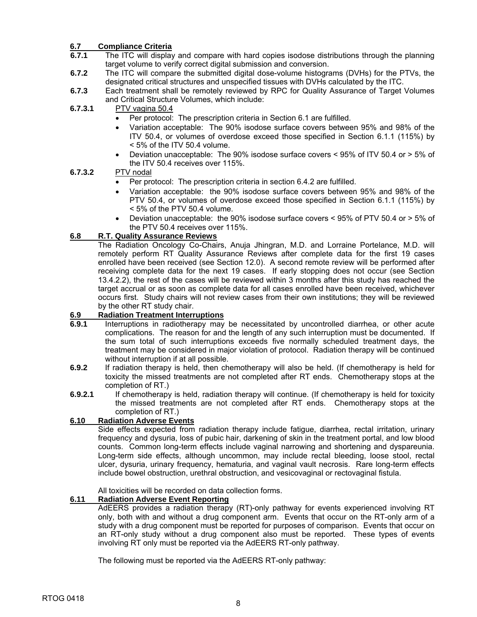# **6.7 Compliance Criteria**

- **6.7.1** The ITC will display and compare with hard copies isodose distributions through the planning target volume to verify correct digital submission and conversion.
- **6.7.2** The ITC will compare the submitted digital dose-volume histograms (DVHs) for the PTVs, the designated critical structures and unspecified tissues with DVHs calculated by the ITC.
- **6.7.3** Each treatment shall be remotely reviewed by RPC for Quality Assurance of Target Volumes and Critical Structure Volumes, which include:
- **6.7.3.1** PTV vagina 50.4
	- Per protocol: The prescription criteria in Section 6.1 are fulfilled.
	- Variation acceptable: The 90% isodose surface covers between 95% and 98% of the ITV 50.4, or volumes of overdose exceed those specified in Section 6.1.1 (115%) by < 5% of the ITV 50.4 volume.
	- Deviation unacceptable: The 90% isodose surface covers < 95% of ITV 50.4 or > 5% of the ITV 50.4 receives over 115%.
- **6.7.3.2** PTV nodal
	- Per protocol: The prescription criteria in section 6.4.2 are fulfilled.
	- Variation acceptable: the 90% isodose surface covers between 95% and 98% of the PTV 50.4, or volumes of overdose exceed those specified in Section 6.1.1 (115%) by < 5% of the PTV 50.4 volume.
	- Deviation unacceptable: the 90% isodose surface covers < 95% of PTV 50.4 or > 5% of the PTV 50.4 receives over 115%.

# **6.8 R.T. Quality Assurance Reviews**

The Radiation Oncology Co-Chairs, Anuja Jhingran, M.D. and Lorraine Portelance, M.D. will remotely perform RT Quality Assurance Reviews after complete data for the first 19 cases enrolled have been received (see Section 12.0). A second remote review will be performed after receiving complete data for the next 19 cases. If early stopping does not occur (see Section 13.4.2.2), the rest of the cases will be reviewed within 3 months after this study has reached the target accrual or as soon as complete data for all cases enrolled have been received, whichever occurs first. Study chairs will not review cases from their own institutions; they will be reviewed by the other RT study chair.

# **6.9 Radiation Treatment Interruptions**

- **6.9.1** Interruptions in radiotherapy may be necessitated by uncontrolled diarrhea, or other acute complications. The reason for and the length of any such interruption must be documented. If the sum total of such interruptions exceeds five normally scheduled treatment days, the treatment may be considered in major violation of protocol. Radiation therapy will be continued without interruption if at all possible.
- **6.9.2** If radiation therapy is held, then chemotherapy will also be held. (If chemotherapy is held for toxicity the missed treatments are not completed after RT ends. Chemotherapy stops at the completion of RT.)
- **6.9.2.1** If chemotherapy is held, radiation therapy will continue. (If chemotherapy is held for toxicity the missed treatments are not completed after RT ends. Chemotherapy stops at the completion of RT.)

# **6.10 Radiation Adverse Events**

Side effects expected from radiation therapy include fatigue, diarrhea, rectal irritation, urinary frequency and dysuria, loss of pubic hair, darkening of skin in the treatment portal, and low blood counts. Common long-term effects include vaginal narrowing and shortening and dyspareunia. Long-term side effects, although uncommon, may include rectal bleeding, loose stool, rectal ulcer, dysuria, urinary frequency, hematuria, and vaginal vault necrosis. Rare long-term effects include bowel obstruction, urethral obstruction, and vesicovaginal or rectovaginal fistula.

All toxicities will be recorded on data collection forms.

## **6.11 Radiation Adverse Event Reporting**

AdEERS provides a radiation therapy (RT)-only pathway for events experienced involving RT only, both with and without a drug component arm. Events that occur on the RT-only arm of a study with a drug component must be reported for purposes of comparison. Events that occur on an RT-only study without a drug component also must be reported. These types of events involving RT only must be reported via the AdEERS RT-only pathway.

The following must be reported via the AdEERS RT-only pathway: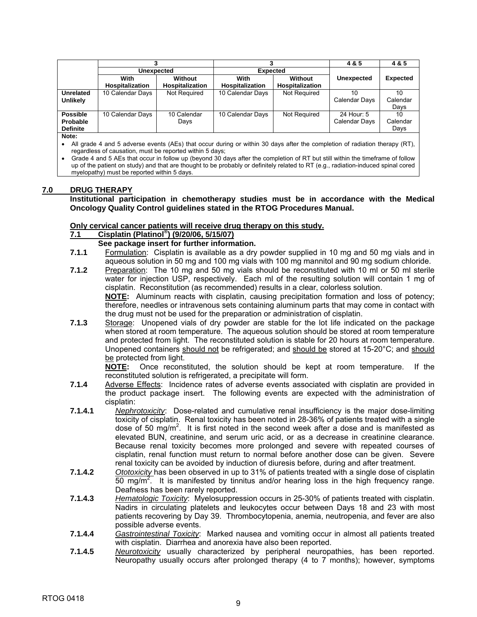|                                                |                                |                            |                                |                            | 4 & 5                       | 4 & 5                  |
|------------------------------------------------|--------------------------------|----------------------------|--------------------------------|----------------------------|-----------------------------|------------------------|
|                                                | Unexpected                     |                            | <b>Expected</b>                |                            |                             |                        |
|                                                | With<br><b>Hospitalization</b> | Without<br>Hospitalization | With<br><b>Hospitalization</b> | Without<br>Hospitalization | Unexpected                  | <b>Expected</b>        |
| <b>Unrelated</b><br><b>Unlikely</b>            | 10 Calendar Days               | Not Required               | 10 Calendar Days               | Not Required               | 10<br>Calendar Days         | 10<br>Calendar<br>Days |
| <b>Possible</b><br>Probable<br><b>Definite</b> | 10 Calendar Days               | 10 Calendar<br>Days        | 10 Calendar Days               | Not Required               | 24 Hour: 5<br>Calendar Days | 10<br>Calendar<br>Days |
| <b>Mater</b>                                   |                                |                            |                                |                            |                             |                        |

**Note:** 

• All grade 4 and 5 adverse events (AEs) that occur during or within 30 days after the completion of radiation therapy (RT), regardless of causation, must be reported within 5 days;

• Grade 4 and 5 AEs that occur in follow up (beyond 30 days after the completion of RT but still within the timeframe of follow up of the patient on study) and that are thought to be probably or definitely related to RT (e.g., radiation-induced spinal cored myelopathy) must be reported within 5 days.

# **7.0 DRUG THERAPY**

**Institutional participation in chemotherapy studies must be in accordance with the Medical Oncology Quality Control guidelines stated in the RTOG Procedures Manual.** 

## **Only cervical cancer patients will receive drug therapy on this study.**

# **7.1 Cisplatin (Platinol® ) (9/20/06, 5/15/07)**

- **See package insert for further information.**
- **7.1.1** Formulation: Cisplatin is available as a dry powder supplied in 10 mg and 50 mg vials and in aqueous solution in 50 mg and 100 mg vials with 100 mg mannitol and 90 mg sodium chloride.
- **7.1.2** Preparation: The 10 mg and 50 mg vials should be reconstituted with 10 ml or 50 ml sterile water for injection USP, respectively. Each ml of the resulting solution will contain 1 mg of cisplatin. Reconstitution (as recommended) results in a clear, colorless solution. **NOTE:** Aluminum reacts with cisplatin, causing precipitation formation and loss of potency; therefore, needles or intravenous sets containing aluminum parts that may come in contact with the drug must not be used for the preparation or administration of cisplatin.
- **7.1.3** Storage: Unopened vials of dry powder are stable for the lot life indicated on the package when stored at room temperature. The aqueous solution should be stored at room temperature and protected from light. The reconstituted solution is stable for 20 hours at room temperature. Unopened containers should not be refrigerated; and should be stored at 15-20°C; and should be protected from light.

**NOTE:** Once reconstituted, the solution should be kept at room temperature. If the reconstituted solution is refrigerated, a precipitate will form.

- **7.1.4** Adverse Effects: Incidence rates of adverse events associated with cisplatin are provided in the product package insert. The following events are expected with the administration of cisplatin:
- **7.1.4.1** *Nephrotoxicity*: Dose-related and cumulative renal insufficiency is the major dose-limiting toxicity of cisplatin. Renal toxicity has been noted in 28-36% of patients treated with a single dose of 50 mg/m<sup>2</sup>. It is first noted in the second week after a dose and is manifested as elevated BUN, creatinine, and serum uric acid, or as a decrease in creatinine clearance. Because renal toxicity becomes more prolonged and severe with repeated courses of cisplatin, renal function must return to normal before another dose can be given. Severe renal toxicity can be avoided by induction of diuresis before, during and after treatment.
- **7.1.4.2** *Ototoxicity* has been observed in up to 31% of patients treated with a single dose of cisplatin  $50 \, \text{mg/m}^2$ . It is manifested by tinnitus and/or hearing loss in the high frequency range. Deafness has been rarely reported.
- **7.1.4.3** *Hematologic Toxicity*: Myelosuppression occurs in 25-30% of patients treated with cisplatin. Nadirs in circulating platelets and leukocytes occur between Days 18 and 23 with most patients recovering by Day 39. Thrombocytopenia, anemia, neutropenia, and fever are also possible adverse events.
- **7.1.4.4** *Gastrointestinal Toxicity*: Marked nausea and vomiting occur in almost all patients treated with cisplatin. Diarrhea and anorexia have also been reported.
- **7.1.4.5** *Neurotoxicity* usually characterized by peripheral neuropathies, has been reported. Neuropathy usually occurs after prolonged therapy (4 to 7 months); however, symptoms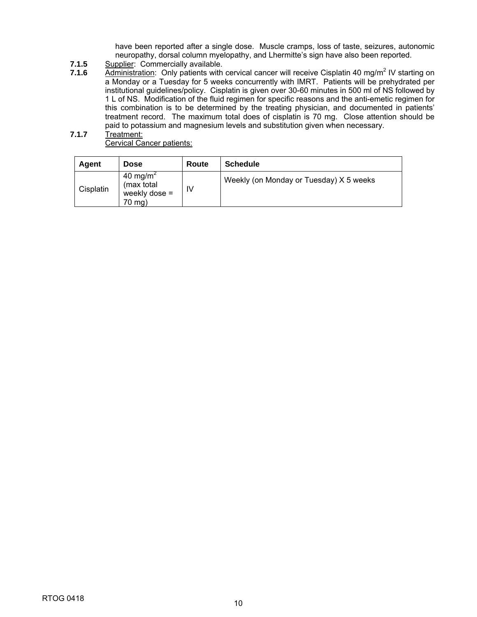have been reported after a single dose. Muscle cramps, loss of taste, seizures, autonomic neuropathy, dorsal column myelopathy, and Lhermitte's sign have also been reported.

- **7.1.5** Supplier: Commercially available.<br>**7.1.6** Administration: Only patients with
- 7.1.6 Administration: Only patients with cervical cancer will receive Cisplatin 40 mg/m<sup>2</sup> IV starting on a Monday or a Tuesday for 5 weeks concurrently with IMRT. Patients will be prehydrated per institutional guidelines/policy. Cisplatin is given over 30-60 minutes in 500 ml of NS followed by 1 L of NS. Modification of the fluid regimen for specific reasons and the anti-emetic regimen for this combination is to be determined by the treating physician, and documented in patients' treatment record. The maximum total does of cisplatin is 70 mg. Close attention should be paid to potassium and magnesium levels and substitution given when necessary.
- **7.1.7** Treatment: Cervical Cancer patients:

| Agent     | <b>Dose</b>                                                     | Route | <b>Schedule</b>                         |
|-----------|-----------------------------------------------------------------|-------|-----------------------------------------|
| Cisplatin | 40 mg/m <sup>2</sup><br>(max total<br>weekly dose $=$<br>70 mg) | IV    | Weekly (on Monday or Tuesday) X 5 weeks |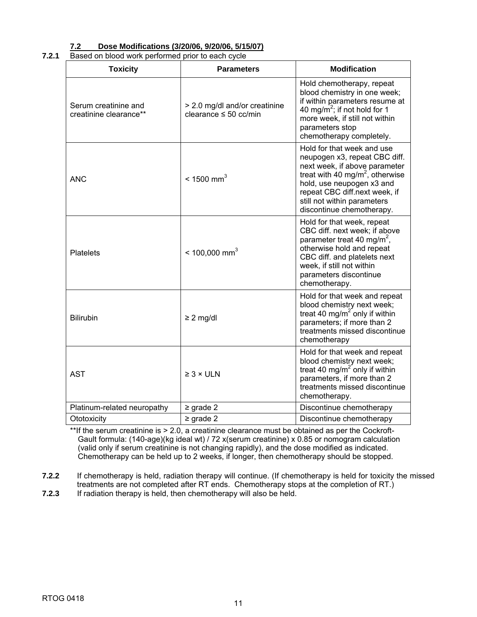| <b>Toxicity</b>                                | <b>Parameters</b>                                           | <b>Modification</b>                                                                                                                                                                                                                                                   |
|------------------------------------------------|-------------------------------------------------------------|-----------------------------------------------------------------------------------------------------------------------------------------------------------------------------------------------------------------------------------------------------------------------|
| Serum creatinine and<br>creatinine clearance** | > 2.0 mg/dl and/or creatinine<br>clearance $\leq 50$ cc/min | Hold chemotherapy, repeat<br>blood chemistry in one week;<br>if within parameters resume at<br>40 mg/m <sup>2</sup> ; if not hold for 1<br>more week, if still not within<br>parameters stop<br>chemotherapy completely.                                              |
| <b>ANC</b>                                     | $< 1500$ mm <sup>3</sup>                                    | Hold for that week and use<br>neupogen x3, repeat CBC diff.<br>next week, if above parameter<br>treat with 40 mg/m <sup>2</sup> , otherwise<br>hold, use neupogen x3 and<br>repeat CBC diff.next week, if<br>still not within parameters<br>discontinue chemotherapy. |
| <b>Platelets</b>                               | $<$ 100,000 mm <sup>3</sup>                                 | Hold for that week, repeat<br>CBC diff. next week; if above<br>parameter treat 40 mg/m <sup>2</sup> ,<br>otherwise hold and repeat<br>CBC diff. and platelets next<br>week, if still not within<br>parameters discontinue<br>chemotherapy.                            |
| <b>Bilirubin</b>                               | $\geq$ 2 mg/dl                                              | Hold for that week and repeat<br>blood chemistry next week;<br>treat 40 mg/m <sup>2</sup> only if within<br>parameters; if more than 2<br>treatments missed discontinue<br>chemotherapy                                                                               |
| <b>AST</b>                                     | $\geq 3 \times$ ULN                                         | Hold for that week and repeat<br>blood chemistry next week;<br>treat 40 mg/m <sup>2</sup> only if within<br>parameters, if more than 2<br>treatments missed discontinue<br>chemotherapy.                                                                              |
| Platinum-related neuropathy                    | $\geq$ grade 2                                              | Discontinue chemotherapy                                                                                                                                                                                                                                              |
| Ototoxicity                                    | $\ge$ grade 2                                               | Discontinue chemotherapy                                                                                                                                                                                                                                              |

# **7.2 Dose Modifications (3/20/06, 9/20/06, 5/15/07)**

**7.2.1** Based on blood work performed prior to each cycle

\*\*If the serum creatinine is > 2.0, a creatinine clearance must be obtained as per the Cockroft-Gault formula: (140-age)(kg ideal wt) / 72 x(serum creatinine) x 0.85 or nomogram calculation (valid only if serum creatinine is not changing rapidly), and the dose modified as indicated. Chemotherapy can be held up to 2 weeks, if longer, then chemotherapy should be stopped.

**7.2.2** If chemotherapy is held, radiation therapy will continue. (If chemotherapy is held for toxicity the missed treatments are not completed after RT ends. Chemotherapy stops at the completion of RT.)

**7.2.3** If radiation therapy is held, then chemotherapy will also be held.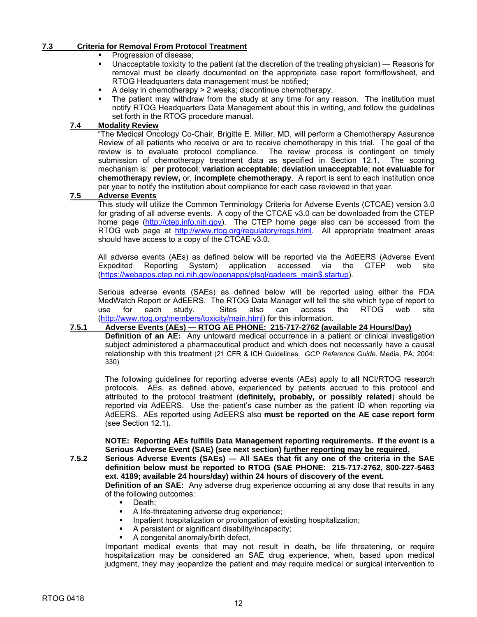## **7.3 Criteria for Removal From Protocol Treatment**

- Progression of disease;
- Unacceptable toxicity to the patient (at the discretion of the treating physician) Reasons for removal must be clearly documented on the appropriate case report form/flowsheet, and RTOG Headquarters data management must be notified;
- A delay in chemotherapy > 2 weeks; discontinue chemotherapy.
- The patient may withdraw from the study at any time for any reason. The institution must notify RTOG Headquarters Data Management about this in writing, and follow the guidelines set forth in the RTOG procedure manual.

## **7.4 Modality Review**

"The Medical Oncology Co-Chair, Brigitte E. Miller, MD, will perform a Chemotherapy Assurance Review of all patients who receive or are to receive chemotherapy in this trial. The goal of the review is to evaluate protocol compliance. The review process is contingent on timely submission of chemotherapy treatment data as specified in Section 12.1. The scoring mechanism is: **per protocol**; **variation acceptable**; **deviation unacceptable**; **not evaluable for chemotherapy review,** or, **incomplete chemotherapy**. A report is sent to each institution once per year to notify the institution about compliance for each case reviewed in that year.

## **7.5 Adverse Events**

This study will utilize the Common Terminology Criteria for Adverse Events (CTCAE) version 3.0 for grading of all adverse events. A copy of the CTCAE v3.0 can be downloaded from the CTEP home page (http://ctep.info.nih.gov). The CTEP home page also can be accessed from the RTOG web page at http://www.rtog.org/regulatory/regs.html. All appropriate treatment areas should have access to a copy of the CTCAE v3.0.

All adverse events (AEs) as defined below will be reported via the AdEERS (Adverse Event Expedited Reporting System) application accessed via the CTEP web site (https://webapps.ctep.nci.nih.gov/openapps/plsql/gadeers\_main\$.startup).

Serious adverse events (SAEs) as defined below will be reported using either the FDA MedWatch Report or AdEERS. The RTOG Data Manager will tell the site which type of report to use for each study. Sites also can access the RTOG web site (http://www.rtog.org/members/toxicity/main.html) for this information.

#### **7.5.1 Adverse Events (AEs) — RTOG AE PHONE: 215-717-2762 (available 24 Hours/Day)**

**Definition of an AE:** Any untoward medical occurrence in a patient or clinical investigation subject administered a pharmaceutical product and which does not necessarily have a causal relationship with this treatment (21 CFR & ICH Guidelines. *GCP Reference Guide*. Media, PA; 2004: 330)

The following guidelines for reporting adverse events (AEs) apply to **all** NCI/RTOG research protocols. AEs, as defined above, experienced by patients accrued to this protocol and attributed to the protocol treatment (**definitely, probably, or possibly related**) should be reported via AdEERS. Use the patient's case number as the patient ID when reporting via AdEERS. AEs reported using AdEERS also **must be reported on the AE case report form** (see Section 12.1).

**NOTE: Reporting AEs fulfills Data Management reporting requirements. If the event is a Serious Adverse Event (SAE) (see next section) further reporting may be required.**

**7.5.2 Serious Adverse Events (SAEs) — All SAEs that fit any one of the criteria in the SAE definition below must be reported to RTOG (SAE PHONE: 215-717-2762, 800-227-5463 ext. 4189; available 24 hours/day) within 24 hours of discovery of the event. Definition of an SAE:** Any adverse drug experience occurring at any dose that results in any

of the following outcomes:

- Death:
- A life-threatening adverse drug experience;
- **Inpatient hospitalization or prolongation of existing hospitalization:**
- A persistent or significant disability/incapacity;
- A congenital anomaly/birth defect.

Important medical events that may not result in death, be life threatening, or require hospitalization may be considered an SAE drug experience, when, based upon medical judgment, they may jeopardize the patient and may require medical or surgical intervention to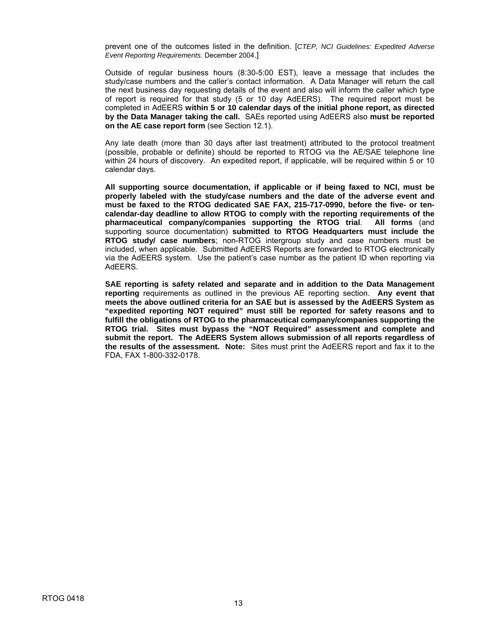prevent one of the outcomes listed in the definition. [*CTEP, NCI Guidelines: Expedited Adverse Event Reporting Requirements*. December 2004.]

Outside of regular business hours (8:30-5:00 EST), leave a message that includes the study/case numbers and the caller's contact information. A Data Manager will return the call the next business day requesting details of the event and also will inform the caller which type of report is required for that study (5 or 10 day AdEERS). The required report must be completed in AdEERS **within 5 or 10 calendar days of the initial phone report, as directed by the Data Manager taking the call.** SAEs reported using AdEERS also **must be reported on the AE case report form** (see Section 12.1).

Any late death (more than 30 days after last treatment) attributed to the protocol treatment (possible, probable or definite) should be reported to RTOG via the AE/SAE telephone line within 24 hours of discovery. An expedited report, if applicable, will be required within 5 or 10 calendar days.

**All supporting source documentation, if applicable or if being faxed to NCI, must be properly labeled with the study/case numbers and the date of the adverse event and must be faxed to the RTOG dedicated SAE FAX, 215-717-0990, before the five- or tencalendar-day deadline to allow RTOG to comply with the reporting requirements of the**  pharmaceutical company/companies supporting the RTOG trial. supporting source documentation) **submitted to RTOG Headquarters must include the RTOG study/ case numbers**; non-RTOG intergroup study and case numbers must be included, when applicable. Submitted AdEERS Reports are forwarded to RTOG electronically via the AdEERS system. Use the patient's case number as the patient ID when reporting via AdEERS.

**SAE reporting is safety related and separate and in addition to the Data Management reporting** requirements as outlined in the previous AE reporting section. **Any event that meets the above outlined criteria for an SAE but is assessed by the AdEERS System as "expedited reporting NOT required" must still be reported for safety reasons and to fulfill the obligations of RTOG to the pharmaceutical company/companies supporting the RTOG trial. Sites must bypass the "NOT Required" assessment and complete and submit the report. The AdEERS System allows submission of all reports regardless of the results of the assessment. Note:** Sites must print the AdEERS report and fax it to the FDA, FAX 1-800-332-0178.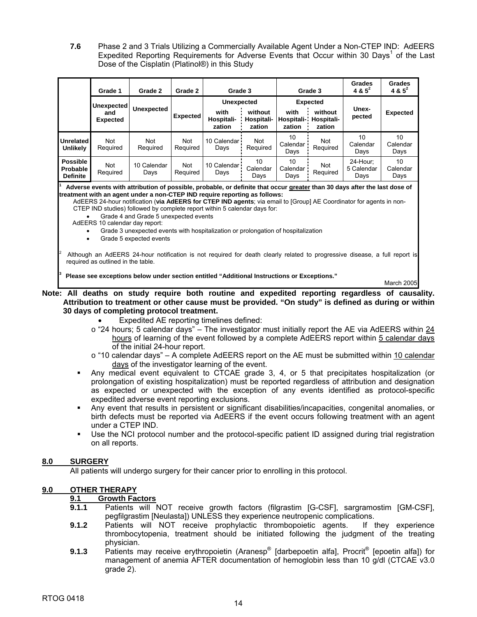**7.6** Phase 2 and 3 Trials Utilizing a Commercially Available Agent Under a Non-CTEP IND: AdEERS Expedited Reporting Requirements for Adverse Events that Occur within 30 Days<sup>1</sup> of the Last Dose of the Cisplatin (Platinol®) in this Study

|                                                                                                                           | Grade 1                | Grade 2             | Grade 2                | Grade 3                      |                                 |                              | Grade 3                         | Grades<br>4 & $5^2$            | Grades<br>4 & $5^2$    |
|---------------------------------------------------------------------------------------------------------------------------|------------------------|---------------------|------------------------|------------------------------|---------------------------------|------------------------------|---------------------------------|--------------------------------|------------------------|
|                                                                                                                           | Unexpected             |                     |                        | <b>Unexpected</b>            |                                 | <b>Expected</b>              |                                 |                                |                        |
|                                                                                                                           | and<br><b>Expected</b> | <b>Unexpected</b>   | <b>Expected</b>        | with<br>Hospitali-<br>zation | without<br>Hospitali-<br>zation | with<br>Hospitali-<br>zation | without<br>Hospitali-<br>zation | Unex-<br>pected                | <b>Expected</b>        |
| <b>Unrelated</b><br><b>Unlikely</b>                                                                                       | <b>Not</b><br>Required | Not<br>Required     | <b>Not</b><br>Required | 10 Calendar<br>Days          | <b>Not</b><br>Required          | 10<br>Calendar<br>Days       | Not<br>Required                 | 10<br>Calendar<br>Davs         | 10<br>Calendar<br>Days |
| <b>Possible</b><br><b>Probable</b><br><b>Definite</b>                                                                     | Not<br>Required        | 10 Calendar<br>Days | Not<br>Required        | 10 Calendar<br>Days          | 10<br>Calendar<br>Days          | 10<br>Calendar<br>Days       | Not<br>Required                 | 24-Hour:<br>5 Calendar<br>Days | 10<br>Calendar<br>Days |
| Adverse events with attribution of possible, probable, or definite that occur greater than 30 days after the last dose of |                        |                     |                        |                              |                                 |                              |                                 |                                |                        |

Adverse events with attribution of possible, probable, or definite that occur greater than 30 days after the last dose of **treatment with an agent under a non-CTEP IND require reporting as follows:** 

 AdEERS 24-hour notification (**via AdEERS for CTEP IND agents**; via email to [Group] AE Coordinator for agents in non-CTEP IND studies) followed by complete report within 5 calendar days for:

• Grade 4 and Grade 5 unexpected events

AdEERS 10 calendar day report:

• Grade 3 unexpected events with hospitalization or prolongation of hospitalization

Grade 5 expected events

 Although an AdEERS 24-hour notification is not required for death clearly related to progressive disease, a full report is required as outlined in the table.

**3 Please see exceptions below under section entitled "Additional Instructions or Exceptions."** 

March 2005

## **Note: All deaths on study require both routine and expedited reporting regardless of causality. Attribution to treatment or other cause must be provided. "On study" is defined as during or within 30 days of completing protocol treatment.**

- Expedited AE reporting timelines defined:
- $\circ$  "24 hours; 5 calendar days" The investigator must initially report the AE via AdEERS within 24 hours of learning of the event followed by a complete AdEERS report within 5 calendar days of the initial 24-hour report.
- $\circ$  "10 calendar days" A complete AdEERS report on the AE must be submitted within 10 calendar days of the investigator learning of the event.
- Any medical event equivalent to CTCAE grade 3, 4, or 5 that precipitates hospitalization (or prolongation of existing hospitalization) must be reported regardless of attribution and designation as expected or unexpected with the exception of any events identified as protocol-specific expedited adverse event reporting exclusions.
- Any event that results in persistent or significant disabilities/incapacities, congenital anomalies, or birth defects must be reported via AdEERS if the event occurs following treatment with an agent under a CTEP IND.
- Use the NCI protocol number and the protocol-specific patient ID assigned during trial registration on all reports.

# **8.0 SURGERY**

2

All patients will undergo surgery for their cancer prior to enrolling in this protocol.

# **9.0 OTHER THERAPY**

## **9.1 Growth Factors**

- **9.1.1** Patients will NOT receive growth factors (filgrastim [G-CSF], sargramostim [GM-CSF], pegfilgrastim [Neulasta]) UNLESS they experience neutropenic complications.
- **9.1.2** Patients will NOT receive prophylactic thrombopoietic agents. If they experience thrombocytopenia, treatment should be initiated following the judgment of the treating physician.
- 9.1.3 Patients may receive erythropoietin (Aranesp® [darbepoetin alfa], Procrit<sup>®</sup> [epoetin alfa]) for management of anemia AFTER documentation of hemoglobin less than 10 g/dl (CTCAE v3.0 grade 2).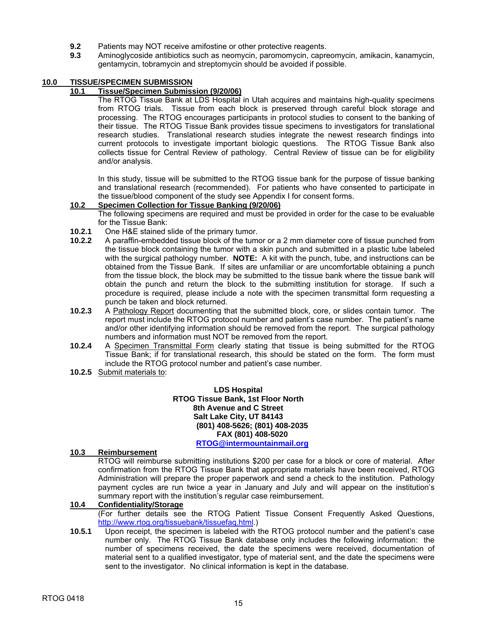- **9.2** Patients may NOT receive amifostine or other protective reagents.
- **9.3** Aminoglycoside antibiotics such as neomycin, paromomycin, capreomycin, amikacin, kanamycin, gentamycin, tobramycin and streptomycin should be avoided if possible.

## **10.0 TISSUE/SPECIMEN SUBMISSION**

## **10.1 Tissue/Specimen Submission (9/20/06)**

The RTOG Tissue Bank at LDS Hospital in Utah acquires and maintains high-quality specimens from RTOG trials. Tissue from each block is preserved through careful block storage and processing. The RTOG encourages participants in protocol studies to consent to the banking of their tissue. The RTOG Tissue Bank provides tissue specimens to investigators for translational research studies. Translational research studies integrate the newest research findings into current protocols to investigate important biologic questions. The RTOG Tissue Bank also collects tissue for Central Review of pathology. Central Review of tissue can be for eligibility and/or analysis.

In this study, tissue will be submitted to the RTOG tissue bank for the purpose of tissue banking and translational research (recommended). For patients who have consented to participate in the tissue/blood component of the study see Appendix I for consent forms.

#### **10.2 Specimen Collection for Tissue Banking (9/20/06)**

- The following specimens are required and must be provided in order for the case to be evaluable for the Tissue Bank:
- **10.2.1** One H&E stained slide of the primary tumor.
- **10.2.2** A paraffin-embedded tissue block of the tumor or a 2 mm diameter core of tissue punched from the tissue block containing the tumor with a skin punch and submitted in a plastic tube labeled with the surgical pathology number. **NOTE:** A kit with the punch, tube, and instructions can be obtained from the Tissue Bank. If sites are unfamiliar or are uncomfortable obtaining a punch from the tissue block, the block may be submitted to the tissue bank where the tissue bank will obtain the punch and return the block to the submitting institution for storage. If such a procedure is required, please include a note with the specimen transmittal form requesting a punch be taken and block returned.
- **10.2.3** A Pathology Report documenting that the submitted block, core, or slides contain tumor. The report must include the RTOG protocol number and patient's case number. The patient's name and/or other identifying information should be removed from the report. The surgical pathology numbers and information must NOT be removed from the report.
- **10.2.4** A Specimen Transmittal Form clearly stating that tissue is being submitted for the RTOG Tissue Bank; if for translational research, this should be stated on the form. The form must include the RTOG protocol number and patient's case number.
- **10.2.5** Submit materials to:

**LDS Hospital RTOG Tissue Bank, 1st Floor North 8th Avenue and C Street Salt Lake City, UT 84143 (801) 408-5626; (801) 408-2035 FAX (801) 408-5020 RTOG@intermountainmail.org** 

#### **10.3 Reimbursement**

RTOG will reimburse submitting institutions \$200 per case for a block or core of material. After confirmation from the RTOG Tissue Bank that appropriate materials have been received, RTOG Administration will prepare the proper paperwork and send a check to the institution. Pathology payment cycles are run twice a year in January and July and will appear on the institution's summary report with the institution's regular case reimbursement.

## **10.4 Confidentiality/Storage**

- (For further details see the RTOG Patient Tissue Consent Frequently Asked Questions, http://www.rtog.org/tissuebank/tissuefaq.html.)
- **10.5.1** Upon receipt, the specimen is labeled with the RTOG protocol number and the patient's case number only. The RTOG Tissue Bank database only includes the following information: the number of specimens received, the date the specimens were received, documentation of material sent to a qualified investigator, type of material sent, and the date the specimens were sent to the investigator. No clinical information is kept in the database.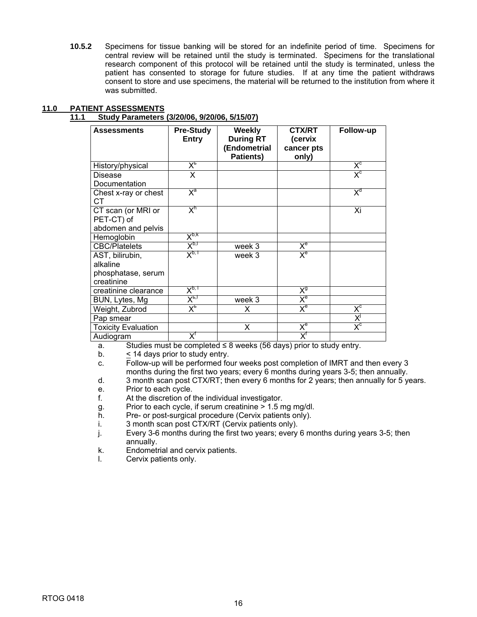**10.5.2** Specimens for tissue banking will be stored for an indefinite period of time. Specimens for central review will be retained until the study is terminated. Specimens for the translational research component of this protocol will be retained until the study is terminated, unless the patient has consented to storage for future studies. If at any time the patient withdraws consent to store and use specimens, the material will be returned to the institution from where it was submitted.

### **11.0 PATIENT ASSESSMENTS**

# **11.1 Study Parameters (3/20/06, 9/20/06, 5/15/07)**

| <b>Assessments</b>                                              | <b>Pre-Study</b><br><b>Entry</b>     | Weekly<br><b>During RT</b><br>(Endometrial<br>Patients) | <b>CTX/RT</b><br>(cervix<br>cancer pts<br>only) | Follow-up                            |
|-----------------------------------------------------------------|--------------------------------------|---------------------------------------------------------|-------------------------------------------------|--------------------------------------|
| History/physical                                                | $\overline{\mathsf{X}}^\mathtt{b}$   |                                                         |                                                 | $X_c$                                |
| <b>Disease</b>                                                  | X                                    |                                                         |                                                 | $\overline{\mathsf{X}}^{\mathsf{c}}$ |
| Documentation                                                   |                                      |                                                         |                                                 |                                      |
| Chest x-ray or chest<br>СT                                      | $\mathsf{X}^\mathsf{a}$              |                                                         |                                                 | $X_q$                                |
| CT scan (or MRI or<br>PET-CT) of                                | $X^{\mathsf{h}}$                     |                                                         |                                                 | Xi                                   |
| abdomen and pelvis                                              |                                      |                                                         |                                                 |                                      |
| Hemoglobin                                                      | $X^{b,k}$                            |                                                         |                                                 |                                      |
| <b>CBC/Platelets</b>                                            | $X^{b, l}$                           | week 3                                                  | $\overline{\mathsf{X}^{\text{e}}}$              |                                      |
| AST, bilirubin,<br>alkaline<br>phosphatase, serum<br>creatinine | $X^{b, 1}$                           | week 3                                                  | $X_{e}$                                         |                                      |
| creatinine clearance                                            | $X^{b, 1}$                           |                                                         | $X_{d}$                                         |                                      |
| BUN, Lytes, Mg                                                  | $\mathsf{X}^{\mathsf{b},\mathsf{l}}$ | week 3                                                  | $\rm X_e$                                       |                                      |
| Weight, Zubrod                                                  | $X_{P}$                              | X                                                       | $X_{6}$                                         | $\rm X_c$                            |
| Pap smear                                                       |                                      |                                                         |                                                 | X)                                   |
| <b>Toxicity Evaluation</b>                                      |                                      | X                                                       | $\mathsf{X}^{\operatorname{e}\nolimits}$        | $\rm X_c$                            |
| Audiogram                                                       | $\text{X}^\intercal$                 |                                                         | $\text{X}^\intercal$                            |                                      |

a. Studies must be completed  $\leq 8$  weeks (56 days) prior to study entry.

b.  $\leq$  14 days prior to study entry.

c. Follow-up will be performed four weeks post completion of IMRT and then every 3 months during the first two years; every 6 months during years 3-5; then annually.

d. 3 month scan post CTX/RT; then every 6 months for 2 years; then annually for 5 years.

e. Prior to each cycle.<br>
f. At the discretion of t At the discretion of the individual investigator.

g. Prior to each cycle, if serum creatinine > 1.5 mg mg/dl.

h. Pre- or post-surgical procedure (Cervix patients only).

i. 3 month scan post CTX/RT (Cervix patients only).

j. Every 3-6 months during the first two years; every 6 months during years 3-5; then annually.

k. Endometrial and cervix patients.

l. Cervix patients only.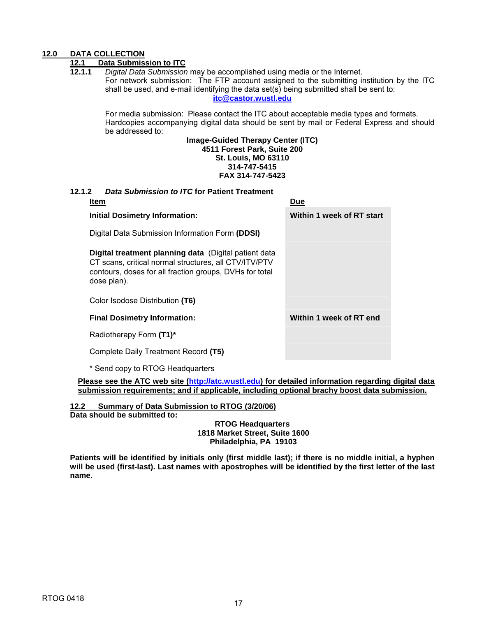# **12.0 DATA COLLECTION**

# **12.1 Data Submission to ITC**

**12.1.1** *Digital Data Submission* may be accomplished using media or the Internet. For network submission: The FTP account assigned to the submitting institution by the ITC shall be used, and e-mail identifying the data set(s) being submitted shall be sent to: **itc@castor.wustl.edu**

For media submission: Please contact the ITC about acceptable media types and formats. Hardcopies accompanying digital data should be sent by mail or Federal Express and should be addressed to:

#### **Image-Guided Therapy Center (ITC) 4511 Forest Park, Suite 200 St. Louis, MO 63110 314-747-5415 FAX 314-747-5423**

| Data Submission to ITC for Patient Treatment<br>12.1.2                                                                                                                                   |                           |
|------------------------------------------------------------------------------------------------------------------------------------------------------------------------------------------|---------------------------|
| <u>Item</u>                                                                                                                                                                              | <b>Due</b>                |
| <b>Initial Dosimetry Information:</b>                                                                                                                                                    | Within 1 week of RT start |
| Digital Data Submission Information Form (DDSI)                                                                                                                                          |                           |
| Digital treatment planning data (Digital patient data<br>CT scans, critical normal structures, all CTV/ITV/PTV<br>contours, doses for all fraction groups, DVHs for total<br>dose plan). |                           |
| Color Isodose Distribution (T6)                                                                                                                                                          |                           |
| <b>Final Dosimetry Information:</b>                                                                                                                                                      | Within 1 week of RT end   |
| Radiotherapy Form (T1)*                                                                                                                                                                  |                           |
| Complete Daily Treatment Record (T5)                                                                                                                                                     |                           |
| * Send copy to RTOG Headquarters                                                                                                                                                         |                           |

 **Please see the ATC web site (http://atc.wustl.edu) for detailed information regarding digital data submission requirements; and if applicable, including optional brachy boost data submission.**

**12.2 Summary of Data Submission to RTOG (3/20/06) Data should be submitted to:** 

**RTOG Headquarters 1818 Market Street, Suite 1600 Philadelphia, PA 19103**

**Patients will be identified by initials only (first middle last); if there is no middle initial, a hyphen will be used (first-last). Last names with apostrophes will be identified by the first letter of the last name.**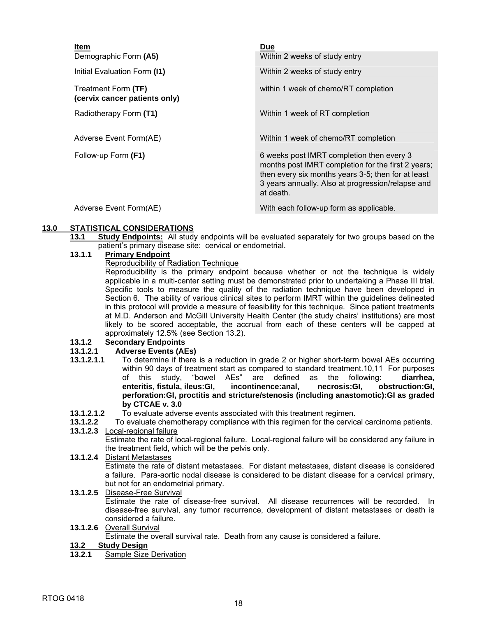| Item                                                 | Due                                                                                                                                                                                                                     |
|------------------------------------------------------|-------------------------------------------------------------------------------------------------------------------------------------------------------------------------------------------------------------------------|
| Demographic Form (A5)                                | Within 2 weeks of study entry                                                                                                                                                                                           |
| Initial Evaluation Form (I1)                         | Within 2 weeks of study entry                                                                                                                                                                                           |
| Treatment Form (TF)<br>(cervix cancer patients only) | within 1 week of chemo/RT completion                                                                                                                                                                                    |
| Radiotherapy Form (T1)                               | Within 1 week of RT completion                                                                                                                                                                                          |
| Adverse Event Form(AE)                               | Within 1 week of chemo/RT completion                                                                                                                                                                                    |
| Follow-up Form (F1)                                  | 6 weeks post IMRT completion then every 3<br>months post IMRT completion for the first 2 years;<br>then every six months years 3-5; then for at least<br>3 years annually. Also at progression/relapse and<br>at death. |
| Adverse Event Form(AE)                               | With each follow-up form as applicable.                                                                                                                                                                                 |

# **13.0 STATISTICAL CONSIDERATIONS**

**13.1 Study Endpoints:** All study endpoints will be evaluated separately for two groups based on the patient's primary disease site: cervical or endometrial.

# **13.1.1 Primary Endpoint**

Reproducibility of Radiation Technique

Reproducibility is the primary endpoint because whether or not the technique is widely applicable in a multi-center setting must be demonstrated prior to undertaking a Phase III trial. Specific tools to measure the quality of the radiation technique have been developed in Section 6. The ability of various clinical sites to perform IMRT within the guidelines delineated in this protocol will provide a measure of feasibility for this technique. Since patient treatments at M.D. Anderson and McGill University Health Center (the study chairs' institutions) are most likely to be scored acceptable, the accrual from each of these centers will be capped at approximately 12.5% (see Section 13.2).

# **13.1.2 Secondary Endpoints**

# **13.1.2.1 Adverse Events (AEs)**

- **13.1.2.1.1** To determine if there is a reduction in grade 2 or higher short-term bowel AEs occurring within 90 days of treatment start as compared to standard treatment.10,11 For purposes of this study, "bowel AEs" are defined as the following: **diarrhea, enteritis, fistula, ileus:GI, incontinence:anal, necrosis:GI, obstruction:GI, perforation:GI, proctitis and stricture/stenosis (including anastomotic):GI as graded by CTCAE v. 3.0**
- **13.1.2.1.2** To evaluate adverse events associated with this treatment regimen.
- **13.1.2.2** To evaluate chemotherapy compliance with this regimen for the cervical carcinoma patients.

# **13.1.2.3** Local-regional failure Estimate the rate of local-regional failure. Local-regional failure will be considered any failure in

- the treatment field, which will be the pelvis only. **13.1.2.4** Distant Metastases Estimate the rate of distant metastases. For distant metastases, distant disease is considered a failure. Para-aortic nodal disease is considered to be distant disease for a cervical primary,
- but not for an endometrial primary. **13.1.2.5** Disease-Free Survival Estimate the rate of disease-free survival. All disease recurrences will be recorded. In disease-free survival, any tumor recurrence, development of distant metastases or death is considered a failure.

# **13.1.2.6** Overall Survival

Estimate the overall survival rate. Death from any cause is considered a failure.

# **13.2 Study Design**

**13.2.1** Sample Size Derivation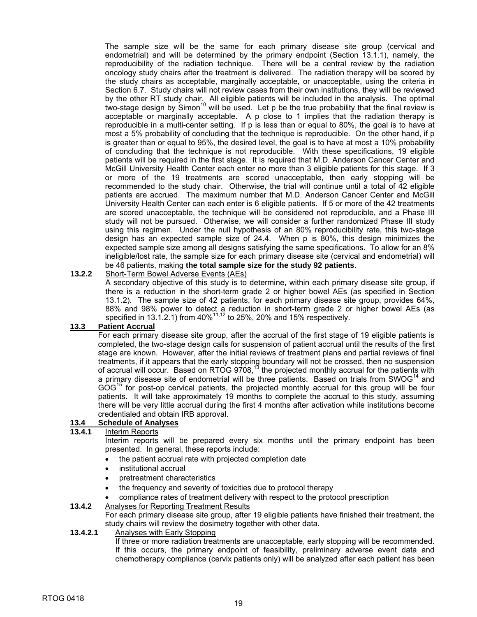The sample size will be the same for each primary disease site group (cervical and endometrial) and will be determined by the primary endpoint (Section 13.1.1), namely, the reproducibility of the radiation technique. There will be a central review by the radiation oncology study chairs after the treatment is delivered. The radiation therapy will be scored by the study chairs as acceptable, marginally acceptable, or unacceptable, using the criteria in Section 6.7. Study chairs will not review cases from their own institutions, they will be reviewed by the other RT study chair. All eligible patients will be included in the analysis. The optimal two-stage design by Simon<sup>10</sup> will be used. Let p be the true probability that the final review is acceptable or marginally acceptable. A p close to 1 implies that the radiation therapy is reproducible in a multi-center setting. If p is less than or equal to 80%, the goal is to have at most a 5% probability of concluding that the technique is reproducible. On the other hand, if p is greater than or equal to 95%, the desired level, the goal is to have at most a 10% probability of concluding that the technique is not reproducible. With these specifications, 19 eligible patients will be required in the first stage. It is required that M.D. Anderson Cancer Center and McGill University Health Center each enter no more than 3 eligible patients for this stage. If 3 or more of the 19 treatments are scored unacceptable, then early stopping will be recommended to the study chair. Otherwise, the trial will continue until a total of 42 eligible patients are accrued. The maximum number that M.D. Anderson Cancer Center and McGill University Health Center can each enter is 6 eligible patients. If 5 or more of the 42 treatments are scored unacceptable, the technique will be considered not reproducible, and a Phase III study will not be pursued. Otherwise, we will consider a further randomized Phase III study using this regimen. Under the null hypothesis of an 80% reproducibility rate, this two-stage design has an expected sample size of 24.4. When p is 80%, this design minimizes the expected sample size among all designs satisfying the same specifications. To allow for an 8% ineligible/lost rate, the sample size for each primary disease site (cervical and endometrial) will be 46 patients, making **the total sample size for the study 92 patients**.

# **13.2.2** Short-Term Bowel Adverse Events (AEs)

A secondary objective of this study is to determine, within each primary disease site group, if there is a reduction in the short-term grade 2 or higher bowel AEs (as specified in Section 13.1.2). The sample size of 42 patients, for each primary disease site group, provides 64%, 88% and 98% power to detect a reduction in short-term grade 2 or higher bowel AEs (as specified in 13.1.2.1) from  $40\%^{11,12}$  to 25%, 20% and 15% respectively.

#### **13.3 Patient Accrual**

For each primary disease site group, after the accrual of the first stage of 19 eligible patients is completed, the two-stage design calls for suspension of patient accrual until the results of the first stage are known. However, after the initial reviews of treatment plans and partial reviews of final treatments, if it appears that the early stopping boundary will not be crossed, then no suspension of accrual will occur. Based on RTOG 9708,13 the projected monthly accrual for the patients with a primary disease site of endometrial will be three patients. Based on trials from SWOG<sup>14</sup> and  $GOG<sup>15</sup>$  for post-op cervical patients, the projected monthly accrual for this group will be four patients. It will take approximately 19 months to complete the accrual to this study, assuming there will be very little accrual during the first 4 months after activation while institutions become credentialed and obtain IRB approval.

# **13.4 Schedule of Analyses**

**13.4.1** Interim Reports

Interim reports will be prepared every six months until the primary endpoint has been presented. In general, these reports include:

- the patient accrual rate with projected completion date
- institutional accrual
- pretreatment characteristics
- the frequency and severity of toxicities due to protocol therapy
- compliance rates of treatment delivery with respect to the protocol prescription

#### **13.4.2** Analyses for Reporting Treatment Results

For each primary disease site group, after 19 eligible patients have finished their treatment, the study chairs will review the dosimetry together with other data.

#### **13.4.2.1** Analyses with Early Stopping

If three or more radiation treatments are unacceptable, early stopping will be recommended. If this occurs, the primary endpoint of feasibility, preliminary adverse event data and chemotherapy compliance (cervix patients only) will be analyzed after each patient has been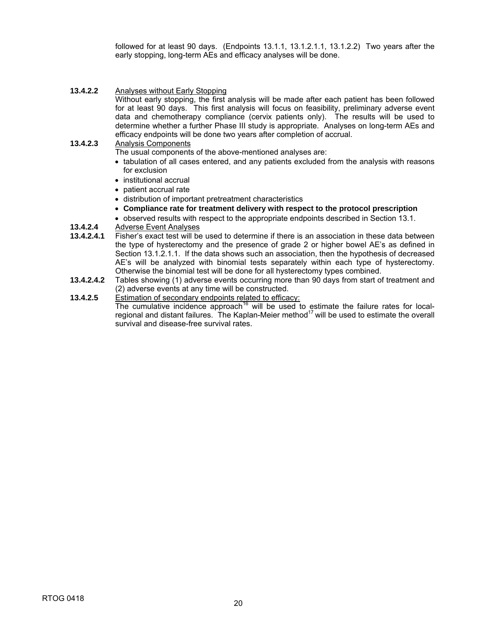followed for at least 90 days. (Endpoints 13.1.1, 13.1.2.1.1, 13.1.2.2) Two years after the early stopping, long-term AEs and efficacy analyses will be done.

### **13.4.2.2** Analyses without Early Stopping

Without early stopping, the first analysis will be made after each patient has been followed for at least 90 days. This first analysis will focus on feasibility, preliminary adverse event data and chemotherapy compliance (cervix patients only). The results will be used to determine whether a further Phase III study is appropriate. Analyses on long-term AEs and efficacy endpoints will be done two years after completion of accrual.

## **13.4.2.3** Analysis Components

- The usual components of the above-mentioned analyses are:
- tabulation of all cases entered, and any patients excluded from the analysis with reasons for exclusion
- institutional accrual
- patient accrual rate
- distribution of important pretreatment characteristics
- **Compliance rate for treatment delivery with respect to the protocol prescription**
- observed results with respect to the appropriate endpoints described in Section 13.1.

# **13.4.2.4** Adverse Event Analyses

- **13.4.2.4.1** Fisher's exact test will be used to determine if there is an association in these data between the type of hysterectomy and the presence of grade 2 or higher bowel AE's as defined in Section 13.1.2.1.1. If the data shows such an association, then the hypothesis of decreased AE's will be analyzed with binomial tests separately within each type of hysterectomy. Otherwise the binomial test will be done for all hysterectomy types combined.
- **13.4.2.4.2** Tables showing (1) adverse events occurring more than 90 days from start of treatment and (2) adverse events at any time will be constructed.
- **13.4.2.5** Estimation of secondary endpoints related to efficacy:
	- The cumulative incidence approach<sup>16</sup> will be used to estimate the failure rates for localregional and distant failures. The Kaplan-Meier method<sup>17</sup> will be used to estimate the overall survival and disease-free survival rates.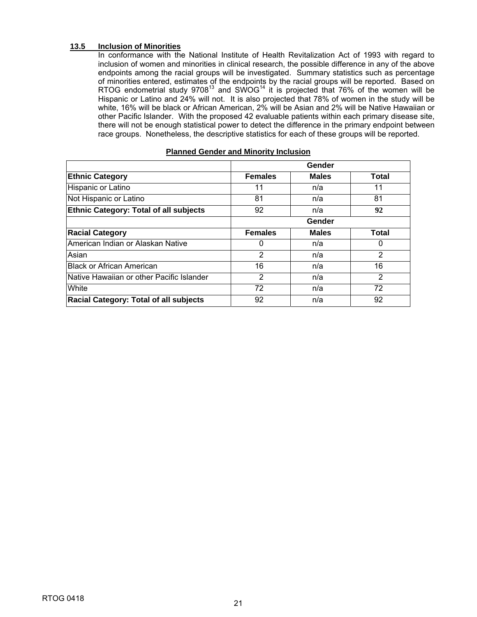## **13.5 Inclusion of Minorities**

In conformance with the National Institute of Health Revitalization Act of 1993 with regard to inclusion of women and minorities in clinical research, the possible difference in any of the above endpoints among the racial groups will be investigated. Summary statistics such as percentage of minorities entered, estimates of the endpoints by the racial groups will be reported. Based on RTOG endometrial study 9708<sup>13</sup> and SWOG<sup>14</sup> it is projected that 76% of the women will be Hispanic or Latino and 24% will not. It is also projected that 78% of women in the study will be white, 16% will be black or African American, 2% will be Asian and 2% will be Native Hawaiian or other Pacific Islander. With the proposed 42 evaluable patients within each primary disease site, there will not be enough statistical power to detect the difference in the primary endpoint between race groups. Nonetheless, the descriptive statistics for each of these groups will be reported.

|                                               | Gender         |              |       |
|-----------------------------------------------|----------------|--------------|-------|
| <b>Ethnic Category</b>                        | <b>Females</b> | <b>Males</b> | Total |
| Hispanic or Latino                            | 11             | n/a          | 11    |
| Not Hispanic or Latino                        | 81             | n/a          | 81    |
| <b>Ethnic Category: Total of all subjects</b> | 92             | n/a          | 92    |
|                                               | Gender         |              |       |
| <b>Racial Category</b>                        | <b>Females</b> | <b>Males</b> | Total |
| American Indian or Alaskan Native             | 0              | n/a          | 0     |
| Asian                                         | 2              | n/a          | 2     |
| <b>Black or African American</b>              | 16             | n/a          | 16    |
| Native Hawaiian or other Pacific Islander     | 2              | n/a          | 2     |
| <b>White</b>                                  | 72             | n/a          | 72    |
| <b>Racial Category: Total of all subjects</b> | 92             | n/a          | 92    |

#### **Planned Gender and Minority Inclusion**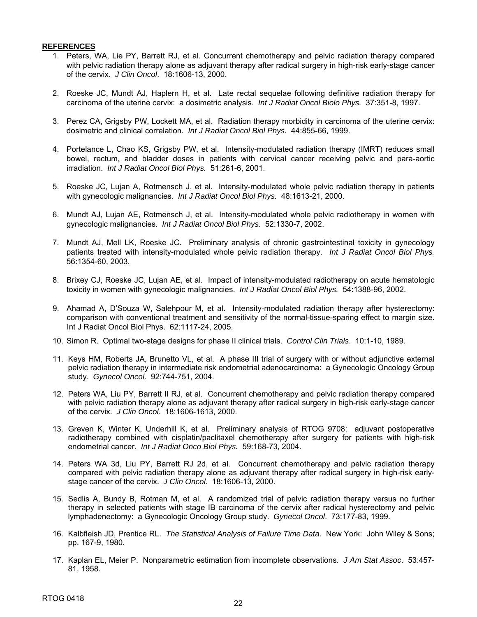## **REFERENCES**

- 1. Peters, WA, Lie PY, Barrett RJ, et al. Concurrent chemotherapy and pelvic radiation therapy compared with pelvic radiation therapy alone as adjuvant therapy after radical surgery in high-risk early-stage cancer of the cervix. *J Clin Oncol*. 18:1606-13, 2000.
- 2. Roeske JC, Mundt AJ, Haplern H, et al. Late rectal sequelae following definitive radiation therapy for carcinoma of the uterine cervix: a dosimetric analysis. *Int J Radiat Oncol Biolo Phys.* 37:351-8, 1997.
- 3. Perez CA, Grigsby PW, Lockett MA, et al. Radiation therapy morbidity in carcinoma of the uterine cervix: dosimetric and clinical correlation. *Int J Radiat Oncol Biol Phys.* 44:855-66, 1999.
- 4. Portelance L, Chao KS, Grigsby PW, et al. Intensity-modulated radiation therapy (IMRT) reduces small bowel, rectum, and bladder doses in patients with cervical cancer receiving pelvic and para-aortic irradiation. *Int J Radiat Oncol Biol Phys.* 51:261-6, 2001.
- 5. Roeske JC, Lujan A, Rotmensch J, et al. Intensity-modulated whole pelvic radiation therapy in patients with gynecologic malignancies. *Int J Radiat Oncol Biol Phys.* 48:1613-21, 2000.
- 6. Mundt AJ, Lujan AE, Rotmensch J, et al. Intensity-modulated whole pelvic radiotherapy in women with gynecologic malignancies. *Int J Radiat Oncol Biol Phys.* 52:1330-7, 2002.
- 7. Mundt AJ, Mell LK, Roeske JC. Preliminary analysis of chronic gastrointestinal toxicity in gynecology patients treated with intensity-modulated whole pelvic radiation therapy. *Int J Radiat Oncol Biol Phys.*  56:1354-60, 2003.
- 8. Brixey CJ, Roeske JC, Lujan AE, et al. Impact of intensity-modulated radiotherapy on acute hematologic toxicity in women with gynecologic malignancies. *Int J Radiat Oncol Biol Phys.* 54:1388-96, 2002.
- 9. Ahamad A, D'Souza W, Salehpour M, et al. Intensity-modulated radiation therapy after hysterectomy: comparison with conventional treatment and sensitivity of the normal-tissue-sparing effect to margin size. Int J Radiat Oncol Biol Phys. 62:1117-24, 2005.
- 10. Simon R. Optimal two-stage designs for phase II clinical trials. *Control Clin Trials*. 10:1-10, 1989.
- 11. Keys HM, Roberts JA, Brunetto VL, et al. A phase III trial of surgery with or without adjunctive external pelvic radiation therapy in intermediate risk endometrial adenocarcinoma: a Gynecologic Oncology Group study. *Gynecol Oncol.* 92:744-751, 2004.
- 12. Peters WA, Liu PY, Barrett II RJ, et al. Concurrent chemotherapy and pelvic radiation therapy compared with pelvic radiation therapy alone as adjuvant therapy after radical surgery in high-risk early-stage cancer of the cervix. *J Clin Oncol*. 18:1606-1613, 2000.
- 13. Greven K, Winter K, Underhill K, et al. Preliminary analysis of RTOG 9708: adjuvant postoperative radiotherapy combined with cisplatin/paclitaxel chemotherapy after surgery for patients with high-risk endometrial cancer. *Int J Radiat Onco Biol Phys.* 59:168-73, 2004.
- 14. Peters WA 3d, Liu PY, Barrett RJ 2d, et al. Concurrent chemotherapy and pelvic radiation therapy compared with pelvic radiation therapy alone as adjuvant therapy after radical surgery in high-risk earlystage cancer of the cervix. *J Clin Oncol*. 18:1606-13, 2000.
- 15. Sedlis A, Bundy B, Rotman M, et al. A randomized trial of pelvic radiation therapy versus no further therapy in selected patients with stage IB carcinoma of the cervix after radical hysterectomy and pelvic lymphadenectomy: a Gynecologic Oncology Group study. *Gynecol Oncol*. 73:177-83, 1999.
- 16. Kalbfleish JD, Prentice RL. *The Statistical Analysis of Failure Time Data*. New York: John Wiley & Sons; pp. 167-9, 1980.
- 17. Kaplan EL, Meier P. Nonparametric estimation from incomplete observations. *J Am Stat Assoc*. 53:457- 81, 1958.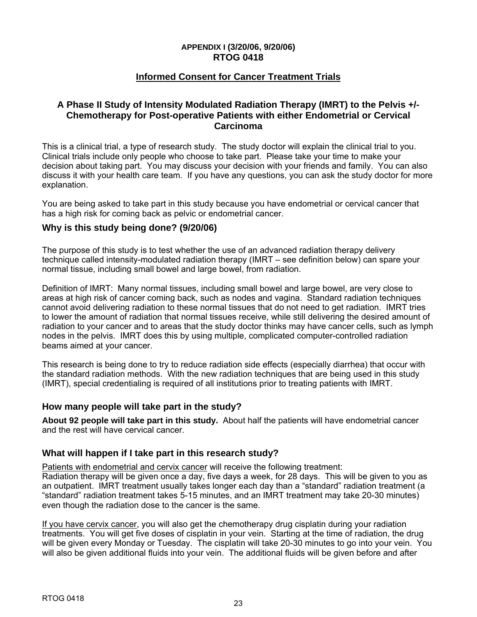# **APPENDIX I (3/20/06, 9/20/06) RTOG 0418**

# **Informed Consent for Cancer Treatment Trials**

# **A Phase II Study of Intensity Modulated Radiation Therapy (IMRT) to the Pelvis +/- Chemotherapy for Post-operative Patients with either Endometrial or Cervical Carcinoma**

This is a clinical trial, a type of research study. The study doctor will explain the clinical trial to you. Clinical trials include only people who choose to take part. Please take your time to make your decision about taking part. You may discuss your decision with your friends and family. You can also discuss it with your health care team. If you have any questions, you can ask the study doctor for more explanation.

You are being asked to take part in this study because you have endometrial or cervical cancer that has a high risk for coming back as pelvic or endometrial cancer.

# **Why is this study being done? (9/20/06)**

The purpose of this study is to test whether the use of an advanced radiation therapy delivery technique called intensity-modulated radiation therapy (IMRT – see definition below) can spare your normal tissue, including small bowel and large bowel, from radiation.

Definition of IMRT: Many normal tissues, including small bowel and large bowel, are very close to areas at high risk of cancer coming back, such as nodes and vagina. Standard radiation techniques cannot avoid delivering radiation to these normal tissues that do not need to get radiation. IMRT tries to lower the amount of radiation that normal tissues receive, while still delivering the desired amount of radiation to your cancer and to areas that the study doctor thinks may have cancer cells, such as lymph nodes in the pelvis. IMRT does this by using multiple, complicated computer-controlled radiation beams aimed at your cancer.

This research is being done to try to reduce radiation side effects (especially diarrhea) that occur with the standard radiation methods. With the new radiation techniques that are being used in this study (IMRT), special credentialing is required of all institutions prior to treating patients with IMRT.

# **How many people will take part in the study?**

**About 92 people will take part in this study.** About half the patients will have endometrial cancer and the rest will have cervical cancer.

# **What will happen if I take part in this research study?**

Patients with endometrial and cervix cancer will receive the following treatment: Radiation therapy will be given once a day, five days a week, for 28 days. This will be given to you as an outpatient. IMRT treatment usually takes longer each day than a "standard" radiation treatment (a "standard" radiation treatment takes 5-15 minutes, and an IMRT treatment may take 20-30 minutes) even though the radiation dose to the cancer is the same.

If you have cervix cancer, you will also get the chemotherapy drug cisplatin during your radiation treatments. You will get five doses of cisplatin in your vein. Starting at the time of radiation, the drug will be given every Monday or Tuesday. The cisplatin will take 20-30 minutes to go into your vein. You will also be given additional fluids into your vein. The additional fluids will be given before and after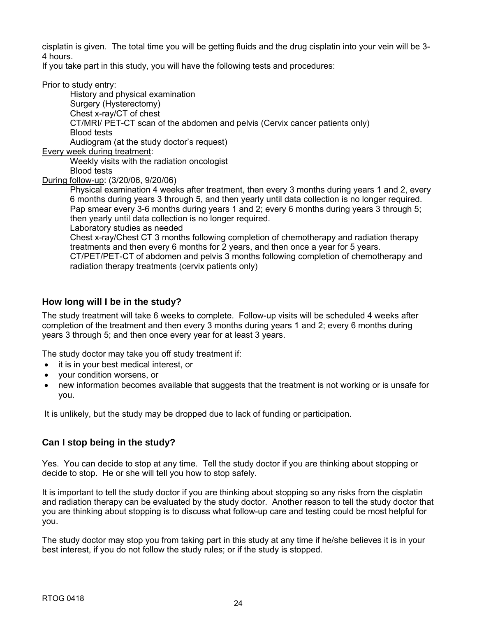cisplatin is given. The total time you will be getting fluids and the drug cisplatin into your vein will be 3- 4 hours.

If you take part in this study, you will have the following tests and procedures:

Prior to study entry:

 History and physical examination Surgery (Hysterectomy) Chest x-ray/CT of chest CT/MRI/ PET-CT scan of the abdomen and pelvis (Cervix cancer patients only) Blood tests Audiogram (at the study doctor's request) Every week during treatment: Weekly visits with the radiation oncologist Blood tests During follow-up: (3/20/06, 9/20/06)

Physical examination 4 weeks after treatment, then every 3 months during years 1 and 2, every 6 months during years 3 through 5, and then yearly until data collection is no longer required. Pap smear every 3-6 months during years 1 and 2; every 6 months during years 3 through 5; then yearly until data collection is no longer required. Laboratory studies as needed

Chest x-ray/Chest CT 3 months following completion of chemotherapy and radiation therapy treatments and then every 6 months for 2 years, and then once a year for 5 years. CT/PET/PET-CT of abdomen and pelvis 3 months following completion of chemotherapy and radiation therapy treatments (cervix patients only)

# **How long will I be in the study?**

The study treatment will take 6 weeks to complete. Follow-up visits will be scheduled 4 weeks after completion of the treatment and then every 3 months during years 1 and 2; every 6 months during years 3 through 5; and then once every year for at least 3 years.

The study doctor may take you off study treatment if:

- it is in your best medical interest, or
- your condition worsens, or
- new information becomes available that suggests that the treatment is not working or is unsafe for you.

It is unlikely, but the study may be dropped due to lack of funding or participation.

# **Can I stop being in the study?**

Yes. You can decide to stop at any time. Tell the study doctor if you are thinking about stopping or decide to stop. He or she will tell you how to stop safely.

It is important to tell the study doctor if you are thinking about stopping so any risks from the cisplatin and radiation therapy can be evaluated by the study doctor. Another reason to tell the study doctor that you are thinking about stopping is to discuss what follow-up care and testing could be most helpful for you.

The study doctor may stop you from taking part in this study at any time if he/she believes it is in your best interest, if you do not follow the study rules; or if the study is stopped.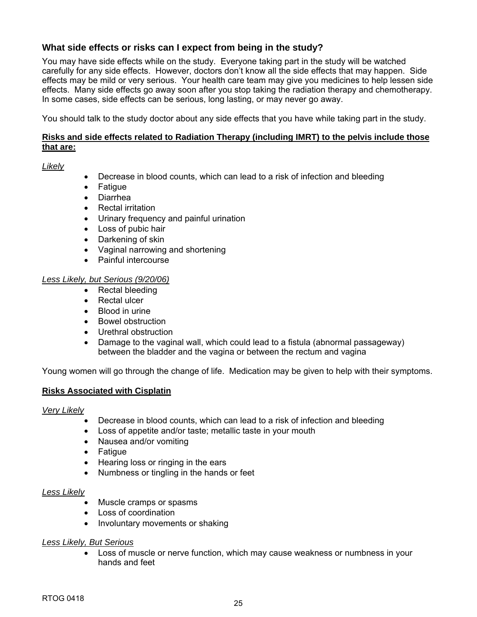# **What side effects or risks can I expect from being in the study?**

You may have side effects while on the study. Everyone taking part in the study will be watched carefully for any side effects. However, doctors don't know all the side effects that may happen. Side effects may be mild or very serious. Your health care team may give you medicines to help lessen side effects. Many side effects go away soon after you stop taking the radiation therapy and chemotherapy. In some cases, side effects can be serious, long lasting, or may never go away.

You should talk to the study doctor about any side effects that you have while taking part in the study.

# **Risks and side effects related to Radiation Therapy (including IMRT) to the pelvis include those that are:**

*Likely*

- Decrease in blood counts, which can lead to a risk of infection and bleeding
- Fatigue
- Diarrhea
- Rectal irritation
- Urinary frequency and painful urination
- Loss of pubic hair
- Darkening of skin
- Vaginal narrowing and shortening
- Painful intercourse

# *Less Likely, but Serious (9/20/06)*

- Rectal bleeding
- Rectal ulcer
- Blood in urine
- Bowel obstruction
- Urethral obstruction
- Damage to the vaginal wall, which could lead to a fistula (abnormal passageway) between the bladder and the vagina or between the rectum and vagina

Young women will go through the change of life. Medication may be given to help with their symptoms.

# **Risks Associated with Cisplatin**

# *Very Likely*

- Decrease in blood counts, which can lead to a risk of infection and bleeding
- Loss of appetite and/or taste; metallic taste in your mouth
- Nausea and/or vomiting
- Fatigue
- Hearing loss or ringing in the ears
- Numbness or tingling in the hands or feet

# *Less Likely*

- Muscle cramps or spasms
- Loss of coordination
- Involuntary movements or shaking

# *Less Likely, But Serious*

• Loss of muscle or nerve function, which may cause weakness or numbness in your hands and feet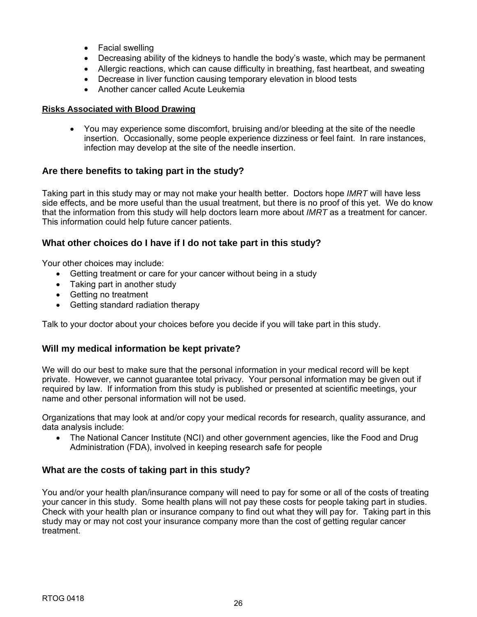- Facial swelling
- Decreasing ability of the kidneys to handle the body's waste, which may be permanent
- Allergic reactions, which can cause difficulty in breathing, fast heartbeat, and sweating
- Decrease in liver function causing temporary elevation in blood tests
- Another cancer called Acute Leukemia

# **Risks Associated with Blood Drawing**

• You may experience some discomfort, bruising and/or bleeding at the site of the needle insertion. Occasionally, some people experience dizziness or feel faint. In rare instances, infection may develop at the site of the needle insertion.

# **Are there benefits to taking part in the study?**

Taking part in this study may or may not make your health better. Doctors hope *IMRT* will have less side effects, and be more useful than the usual treatment, but there is no proof of this yet. We do know that the information from this study will help doctors learn more about *IMRT* as a treatment for cancer. This information could help future cancer patients.

# **What other choices do I have if I do not take part in this study?**

Your other choices may include:

- Getting treatment or care for your cancer without being in a study
- Taking part in another study
- Getting no treatment
- Getting standard radiation therapy

Talk to your doctor about your choices before you decide if you will take part in this study.

# **Will my medical information be kept private?**

We will do our best to make sure that the personal information in your medical record will be kept private. However, we cannot guarantee total privacy. Your personal information may be given out if required by law. If information from this study is published or presented at scientific meetings, your name and other personal information will not be used.

Organizations that may look at and/or copy your medical records for research, quality assurance, and data analysis include:

• The National Cancer Institute (NCI) and other government agencies, like the Food and Drug Administration (FDA), involved in keeping research safe for people

# **What are the costs of taking part in this study?**

You and/or your health plan/insurance company will need to pay for some or all of the costs of treating your cancer in this study. Some health plans will not pay these costs for people taking part in studies. Check with your health plan or insurance company to find out what they will pay for. Taking part in this study may or may not cost your insurance company more than the cost of getting regular cancer treatment.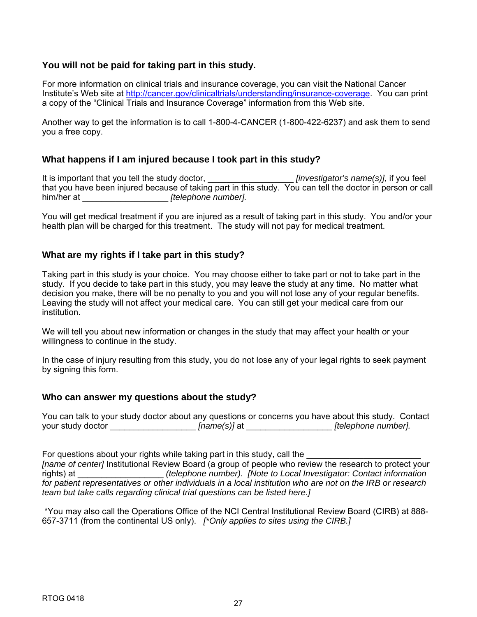# **You will not be paid for taking part in this study.**

For more information on clinical trials and insurance coverage, you can visit the National Cancer Institute's Web site at http://cancer.gov/clinicaltrials/understanding/insurance-coverage. You can print a copy of the "Clinical Trials and Insurance Coverage" information from this Web site.

Another way to get the information is to call 1-800-4-CANCER (1-800-422-6237) and ask them to send you a free copy.

# **What happens if I am injured because I took part in this study?**

It is important that you tell the study doctor, \_\_\_\_\_\_\_\_\_\_\_\_\_\_\_\_\_\_\_\_\_\_*[investigator's name(s)],* if you feel that you have been injured because of taking part in this study. You can tell the doctor in person or call him/her at \_\_\_\_\_\_\_\_\_\_\_\_\_\_\_\_\_\_ *[telephone number].*

You will get medical treatment if you are injured as a result of taking part in this study. You and/or your health plan will be charged for this treatment. The study will not pay for medical treatment.

# **What are my rights if I take part in this study?**

Taking part in this study is your choice. You may choose either to take part or not to take part in the study. If you decide to take part in this study, you may leave the study at any time. No matter what decision you make, there will be no penalty to you and you will not lose any of your regular benefits. Leaving the study will not affect your medical care. You can still get your medical care from our institution.

We will tell you about new information or changes in the study that may affect your health or your willingness to continue in the study.

In the case of injury resulting from this study, you do not lose any of your legal rights to seek payment by signing this form.

# **Who can answer my questions about the study?**

You can talk to your study doctor about any questions or concerns you have about this study. Contact your study doctor \_\_\_\_\_\_\_\_\_\_\_\_\_\_\_\_\_\_ *[name(s)]* at \_\_\_\_\_\_\_\_\_\_\_\_\_\_\_\_\_\_ *[telephone number].*

For questions about your rights while taking part in this study, call the *[name of center]* Institutional Review Board (a group of people who review the research to protect your rights) at \_\_\_\_\_\_\_\_\_\_\_\_\_\_\_\_\_\_ *(telephone number). [Note to Local Investigator: Contact information for patient representatives or other individuals in a local institution who are not on the IRB or research team but take calls regarding clinical trial questions can be listed here.]* 

\*You may also call the Operations Office of the NCI Central Institutional Review Board (CIRB) at 888- 657-3711 (from the continental US only).*[\*Only applies to sites using the CIRB.]*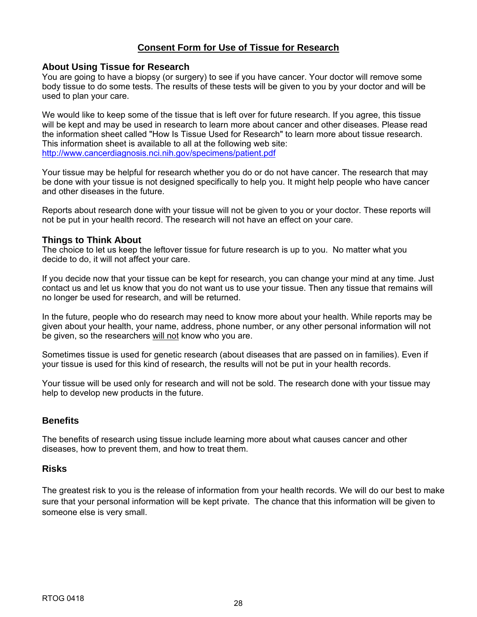# **Consent Form for Use of Tissue for Research**

# **About Using Tissue for Research**

You are going to have a biopsy (or surgery) to see if you have cancer. Your doctor will remove some body tissue to do some tests. The results of these tests will be given to you by your doctor and will be used to plan your care.

We would like to keep some of the tissue that is left over for future research. If you agree, this tissue will be kept and may be used in research to learn more about cancer and other diseases. Please read the information sheet called "How Is Tissue Used for Research" to learn more about tissue research. This information sheet is available to all at the following web site: http://www.cancerdiagnosis.nci.nih.gov/specimens/patient.pdf

Your tissue may be helpful for research whether you do or do not have cancer. The research that may be done with your tissue is not designed specifically to help you. It might help people who have cancer and other diseases in the future.

Reports about research done with your tissue will not be given to you or your doctor. These reports will not be put in your health record. The research will not have an effect on your care.

# **Things to Think About**

The choice to let us keep the leftover tissue for future research is up to you. No matter what you decide to do, it will not affect your care.

If you decide now that your tissue can be kept for research, you can change your mind at any time. Just contact us and let us know that you do not want us to use your tissue. Then any tissue that remains will no longer be used for research, and will be returned.

In the future, people who do research may need to know more about your health. While reports may be given about your health, your name, address, phone number, or any other personal information will not be given, so the researchers will not know who you are.

Sometimes tissue is used for genetic research (about diseases that are passed on in families). Even if your tissue is used for this kind of research, the results will not be put in your health records.

Your tissue will be used only for research and will not be sold. The research done with your tissue may help to develop new products in the future.

# **Benefits**

The benefits of research using tissue include learning more about what causes cancer and other diseases, how to prevent them, and how to treat them.

# **Risks**

The greatest risk to you is the release of information from your health records. We will do our best to make sure that your personal information will be kept private. The chance that this information will be given to someone else is very small.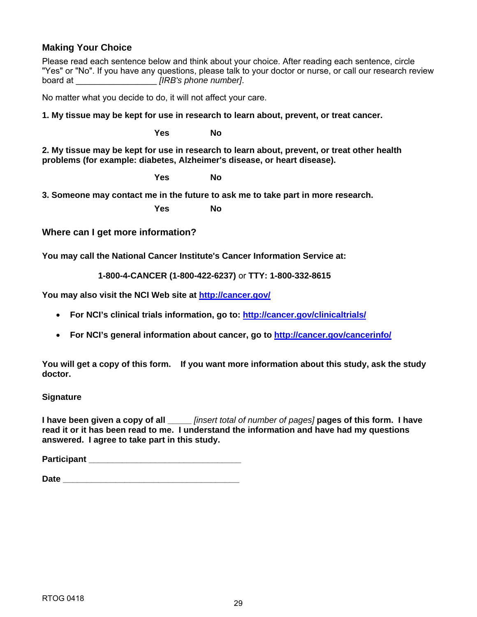# **Making Your Choice**

Please read each sentence below and think about your choice. After reading each sentence, circle "Yes" or "No". If you have any questions, please talk to your doctor or nurse, or call our research review board at \_\_\_\_\_\_\_\_\_\_\_\_\_\_\_\_\_ *[IRB's phone number]*.

No matter what you decide to do, it will not affect your care.

**1. My tissue may be kept for use in research to learn about, prevent, or treat cancer.** 

*No Yes* No

**2. My tissue may be kept for use in research to learn about, prevent, or treat other health problems (for example: diabetes, Alzheimer's disease, or heart disease).** 

*No Yes* No

**3. Someone may contact me in the future to ask me to take part in more research.** 

*No Yes* No

**Where can I get more information?** 

**You may call the National Cancer Institute's Cancer Information Service at:** 

**1-800-4-CANCER (1-800-422-6237)** or **TTY: 1-800-332-8615**

**You may also visit the NCI Web site at http://cancer.gov/**

- **For NCI's clinical trials information, go to: http://cancer.gov/clinicaltrials/**
- **For NCI's general information about cancer, go to http://cancer.gov/cancerinfo/**

**You will get a copy of this form. If you want more information about this study, ask the study doctor.**

# **Signature**

**I have been given a copy of all \_\_\_\_\_** *[insert total of number of pages]* **pages of this form. I have read it or it has been read to me. I understand the information and have had my questions answered. I agree to take part in this study.** 

**Participant \_\_\_\_\_\_\_\_\_\_\_\_\_\_\_\_\_\_\_\_\_\_\_\_\_\_\_\_\_\_\_\_** 

**Date \_\_\_\_\_\_\_\_\_\_\_\_\_\_\_\_\_\_\_\_\_\_\_\_\_\_\_\_\_\_\_\_\_\_\_\_\_**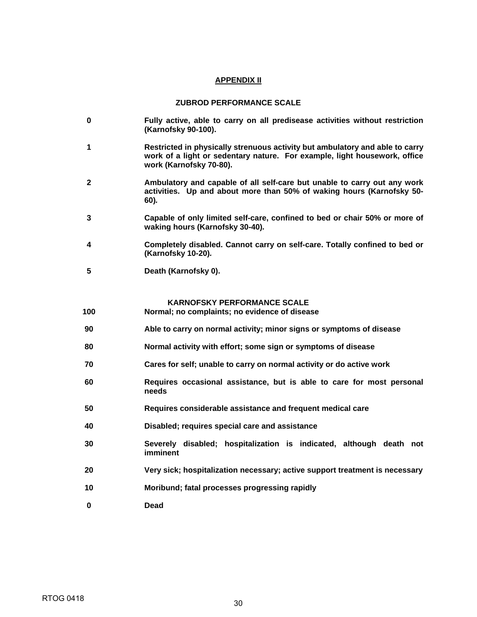#### **APPENDIX II**

#### **ZUBROD PERFORMANCE SCALE**

- **0 Fully active, able to carry on all predisease activities without restriction (Karnofsky 90-100).**
- **1 Restricted in physically strenuous activity but ambulatory and able to carry work of a light or sedentary nature. For example, light housework, office work (Karnofsky 70-80).**
- **2 Ambulatory and capable of all self-care but unable to carry out any work activities. Up and about more than 50% of waking hours (Karnofsky 50- 60)***.*
- **3 Capable of only limited self-care, confined to bed or chair 50% or more of waking hours (Karnofsky 30-40)***.*
- **4 Completely disabled. Cannot carry on self-care. Totally confined to bed or (Karnofsky 10-20)***.*
- **5 Death (Karnofsky 0).**

#### **KARNOFSKY PERFORMANCE SCALE**

- **100 Normal; no complaints; no evidence of disease**
- **90 Able to carry on normal activity; minor signs or symptoms of disease**
- **80 Normal activity with effort; some sign or symptoms of disease**
- **70 Cares for self; unable to carry on normal activity or do active work**
- **60 Requires occasional assistance, but is able to care for most personal needs**
- **50 Requires considerable assistance and frequent medical care**
- **40 Disabled; requires special care and assistance**
- **30 Severely disabled; hospitalization is indicated, although death not imminent**
- **20 Very sick; hospitalization necessary; active support treatment is necessary**
- **10 Moribund; fatal processes progressing rapidly**
- **0 Dead**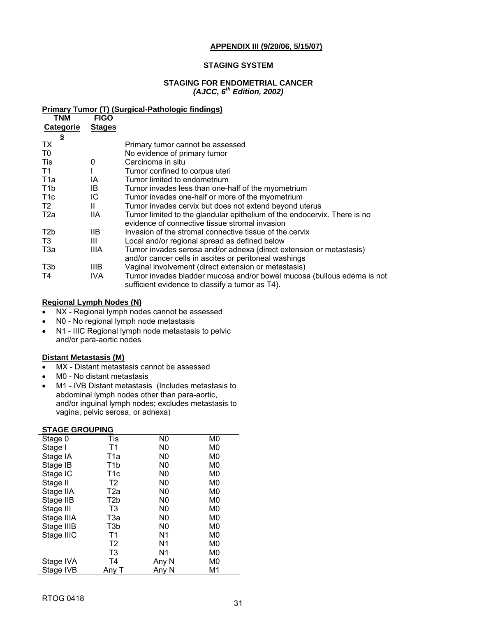## **APPENDIX III (9/20/06, 5/15/07)**

#### **STAGING SYSTEM**

# **STAGING FOR ENDOMETRIAL CANCER**  *(AJCC, 6th Edition, 2002)*

| TNM              | <b>FIGO</b>   |                                                                          |
|------------------|---------------|--------------------------------------------------------------------------|
| Categorie        | <b>Stages</b> |                                                                          |
| $\mathbf{s}$     |               |                                                                          |
| ТX               |               | Primary tumor cannot be assessed                                         |
| T0               |               | No evidence of primary tumor                                             |
| Tis              | 0             | Carcinoma in situ                                                        |
| T1               |               | Tumor confined to corpus uteri                                           |
| T1a              | IA            | Tumor limited to endometrium                                             |
| T <sub>1</sub> b | IBI           | Tumor invades less than one-half of the myometrium                       |
| T <sub>1</sub> c | IC.           | Tumor invades one-half or more of the myometrium                         |
| T2               | Ш             | Tumor invades cervix but does not extend beyond uterus                   |
| T2a              | IIA.          | Tumor limited to the glandular epithelium of the endocervix. There is no |
|                  |               | evidence of connective tissue stromal invasion                           |
| T <sub>2</sub> b | IIB.          | Invasion of the stromal connective tissue of the cervix                  |
| T3               | Ш             | Local and/or regional spread as defined below                            |
| ТЗа              | IIIA.         | Tumor invades serosa and/or adnexa (direct extension or metastasis)      |
|                  |               | and/or cancer cells in ascites or peritoneal washings                    |
| T <sub>3</sub> b | IIIB.         | Vaginal involvement (direct extension or metastasis)                     |
| Т4               | IVA.          | Tumor invades bladder mucosa and/or bowel mucosa (bullous edema is not   |
|                  |               | sufficient evidence to classify a tumor as T4).                          |

#### **Regional Lymph Nodes (N)**

- NX Regional lymph nodes cannot be assessed
- N0 No regional lymph node metastasis
- N1 IIIC Regional lymph node metastasis to pelvic and/or para-aortic nodes

## **Distant Metastasis (M)**

- MX Distant metastasis cannot be assessed
- M0 No distant metastasis
- M1 IVB Distant metastasis (Includes metastasis to abdominal lymph nodes other than para-aortic, and/or inguinal lymph nodes; excludes metastasis to vagina, pelvic serosa, or adnexa)

## **STAGE GROUPING**

| Stage 0    | Tis              | N0             | M <sub>0</sub> |
|------------|------------------|----------------|----------------|
| Stage I    | T1               | N <sub>0</sub> | M0             |
| Stage IA   | T1a              | N0             | M0             |
| Stage IB   | T <sub>1</sub> b | N0             | M0             |
| Stage IC   | T <sub>1</sub> c | N <sub>0</sub> | M0             |
| Stage II   | T2               | N <sub>0</sub> | M0             |
| Stage IIA  | T2a              | N <sub>0</sub> | M0             |
| Stage IIB  | T2b              | N <sub>0</sub> | M0             |
| Stage III  | T3               | N <sub>0</sub> | M0             |
| Stage IIIA | ТЗа              | N0             | M0             |
| Stage IIIB | T3b              | N0             | M0             |
| Stage IIIC | T1               | N1             | M0             |
|            | T <sub>2</sub>   | N <sub>1</sub> | M0             |
|            | T3               | N1             | M0             |
| Stage IVA  | Τ4               | Any N          | M0             |
| Stage IVB  | Any T            | Any N          | M <sub>1</sub> |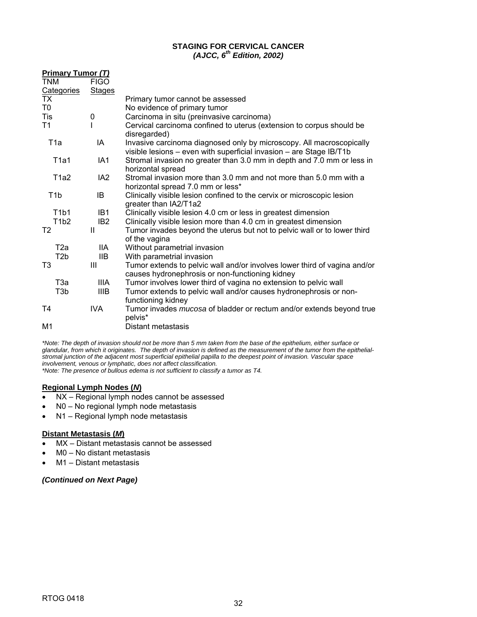## **STAGING FOR CERVICAL CANCER**  *(AJCC, 6th Edition, 2002)*

| <b>Primary Tumor (T)</b>      |                 |                                                                                                                                             |
|-------------------------------|-----------------|---------------------------------------------------------------------------------------------------------------------------------------------|
| <b>TNM</b>                    | <b>FIGO</b>     |                                                                                                                                             |
| Categories<br>TX              | <b>Stages</b>   |                                                                                                                                             |
|                               |                 | Primary tumor cannot be assessed                                                                                                            |
| T <sub>0</sub>                |                 | No evidence of primary tumor                                                                                                                |
| Tis                           | 0               | Carcinoma in situ (preinvasive carcinoma)                                                                                                   |
| T <sub>1</sub>                |                 | Cervical carcinoma confined to uterus (extension to corpus should be<br>disregarded)                                                        |
| T1a                           | IA              | Invasive carcinoma diagnosed only by microscopy. All macroscopically<br>visible lesions - even with superficial invasion - are Stage IB/T1b |
| T1a1                          | IA1             | Stromal invasion no greater than 3.0 mm in depth and 7.0 mm or less in<br>horizontal spread                                                 |
| T1a2                          | IA <sub>2</sub> | Stromal invasion more than 3.0 mm and not more than 5.0 mm with a<br>horizontal spread 7.0 mm or less*                                      |
| T <sub>1</sub> b              | IB.             | Clinically visible lesion confined to the cervix or microscopic lesion<br>greater than IA2/T1a2                                             |
| T <sub>1</sub> b <sub>1</sub> | IB <sub>1</sub> | Clinically visible lesion 4.0 cm or less in greatest dimension                                                                              |
| T <sub>1</sub> b <sub>2</sub> | IB <sub>2</sub> | Clinically visible lesion more than 4.0 cm in greatest dimension                                                                            |
| T <sub>2</sub>                | Ш               | Tumor invades beyond the uterus but not to pelvic wall or to lower third<br>of the vagina                                                   |
| T2a                           | 11A             | Without parametrial invasion                                                                                                                |
| T2b                           | <b>IIB</b>      | With parametrial invasion                                                                                                                   |
| T <sub>3</sub>                | Ш               | Tumor extends to pelvic wall and/or involves lower third of vagina and/or<br>causes hydronephrosis or non-functioning kidney                |
| T <sub>3</sub> a              | IIIA.           | Tumor involves lower third of vagina no extension to pelvic wall                                                                            |
| T <sub>3</sub> b              | IIIB            | Tumor extends to pelvic wall and/or causes hydronephrosis or non-<br>functioning kidney                                                     |
| T4                            | IVA             | Tumor invades <i>mucosa</i> of bladder or rectum and/or extends beyond true<br>pelvis*                                                      |
| M1                            |                 | Distant metastasis                                                                                                                          |

*\*Note: The depth of invasion should not be more than 5 mm taken from the base of the epithelium, either surface or glandular, from which it originates. The depth of invasion is defined as the measurement of the tumor from the epithelialstromal junction of the adjacent most superficial epithelial papilla to the deepest point of invasion. Vascular space involvement, venous or lymphatic, does not affect classification.* 

*\*Note: The presence of bullous edema is not sufficient to classify a tumor as T4.*

#### **Regional Lymph Nodes (***N***)**

- NX Regional lymph nodes cannot be assessed
- N0 No regional lymph node metastasis
- N1 Regional lymph node metastasis

#### **Distant Metastasis (***M***)**

- MX Distant metastasis cannot be assessed
- M0 No distant metastasis
- M1 Distant metastasis

# *(Continued on Next Page)*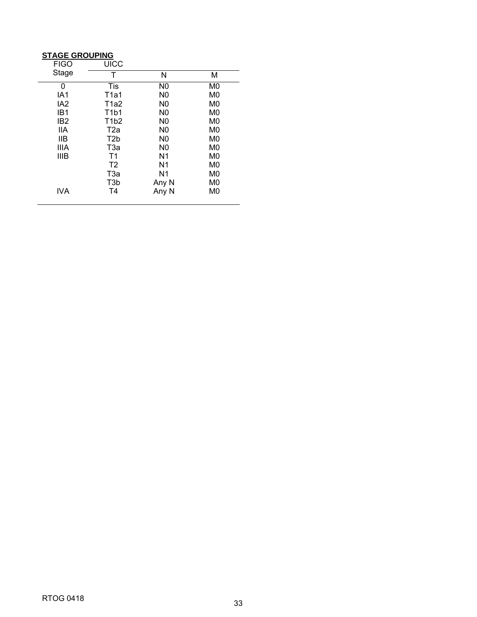# **STAGE GROUPING**

| <b>FIGO</b>     | <b>UICC</b>                   |                |                |
|-----------------|-------------------------------|----------------|----------------|
| Stage           |                               | Ν              | М              |
| 0               | Tis                           | N <sub>0</sub> | M <sub>0</sub> |
| IA <sub>1</sub> | T <sub>1</sub> a1             | N <sub>0</sub> | M <sub>0</sub> |
| IA <sub>2</sub> | T <sub>1</sub> a <sub>2</sub> | N <sub>0</sub> | M <sub>0</sub> |
| IB <sub>1</sub> | T <sub>1</sub> b <sub>1</sub> | N0             | M <sub>0</sub> |
| IB <sub>2</sub> | T <sub>1</sub> b <sub>2</sub> | N <sub>0</sub> | M <sub>0</sub> |
| <b>IIA</b>      | T2a                           | N <sub>0</sub> | M <sub>0</sub> |
| IIВ             | T <sub>2</sub> b              | N <sub>0</sub> | M <sub>0</sub> |
| <b>IIIA</b>     | T <sub>3</sub> a              | N <sub>0</sub> | M <sub>0</sub> |
| IIIB            | T <sub>1</sub>                | N <sub>1</sub> | M <sub>0</sub> |
|                 | T <sub>2</sub>                | N <sub>1</sub> | M <sub>0</sub> |
|                 | T <sub>3</sub> a              | N <sub>1</sub> | M <sub>0</sub> |
|                 | T <sub>3</sub> b              | Any N          | M0             |
| <b>IVA</b>      | T4                            | Any N          | M0             |